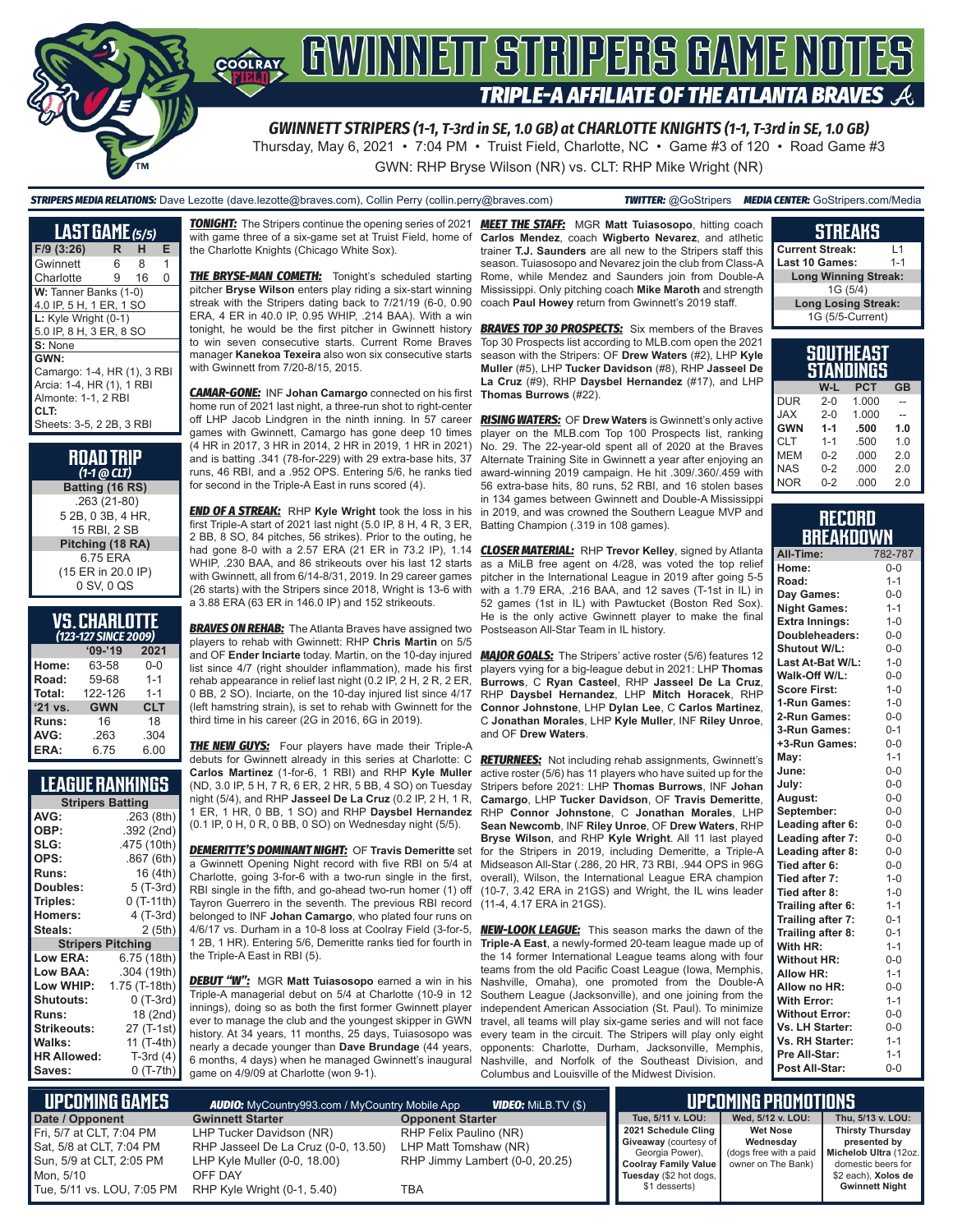

Thursday, May 6, 2021 • 7:04 PM • Truist Field, Charlotte, NC • Game #3 of 120 • Road Game #3 GWN: RHP Bryse Wilson (NR) vs. CLT: RHP Mike Wright (NR)

#### *STRIPERS MEDIA RELATIONS:* Dave Lezotte (dave.lezotte@braves.com), Collin Perry (collin.perry@braves.com) *TWITTER:* @GoStripers *MEDIA CENTER:* GoStripers.com/Media

**LAST GAME** *(5/5)* **F/9 (3:26) R H E** Gwinnett 6 8 1 Charlotte 9 16 0 **W: Tanner Banks (1-0)** 4.0 IP, 5 H, 1 ER, 1 SO **L:** Kyle Wright (0-1) 5.0 IP, 8 H, 3 ER, 8 SO **S:** None **GWN:** Camargo: 1-4, HR (1), 3 RBI Arcia: 1-4, HR (1), 1 RBI Almonte: 1-1, 2 RBI **CLT:** Sheets: 3-5, 2 2B, 3 RBI

| <b>ROAD TRIP</b> |  |  |  |
|------------------|--|--|--|
| $(1-1)$ @ CLT)   |  |  |  |

**Batting (16 RS)** .263 (21-80) 5 2B, 0 3B, 4 HR, 15 RBI, 2 SB **Pitching (18 RA)** 6.75 ERA (15 ER in 20.0 IP) 0 SV, 0 QS

## **VS. CHARLOTTE**

| (123-127 SINCE 2009) |            |            |  |  |  |  |
|----------------------|------------|------------|--|--|--|--|
|                      | $'09-'19$  | 2021       |  |  |  |  |
| Home:                | 63-58      | $0 - 0$    |  |  |  |  |
| Road:                | 59-68      | $1 - 1$    |  |  |  |  |
| Total:               | 122-126    | $1 - 1$    |  |  |  |  |
| $'21$ vs.            | <b>GWN</b> | <b>CLT</b> |  |  |  |  |
| Runs:                | 16         | 18         |  |  |  |  |
| AVG:                 | .263       | .304       |  |  |  |  |
| ERA:                 | 6.75       | 6.00       |  |  |  |  |

## **LEAGUE RANKINGS**

| <b>Stripers Batting</b>  |               |  |  |  |  |
|--------------------------|---------------|--|--|--|--|
| AVG:                     | .263 (8th)    |  |  |  |  |
| OBP:                     | .392 (2nd)    |  |  |  |  |
| SLG:                     | .475 (10th)   |  |  |  |  |
| OPS:                     | .867 (6th)    |  |  |  |  |
| <b>Runs:</b>             | 16 (4th)      |  |  |  |  |
| Doubles:                 | 5 (T-3rd)     |  |  |  |  |
| Triples:                 | $0(T-11th)$   |  |  |  |  |
| <b>Homers:</b>           | 4 (T-3rd)     |  |  |  |  |
| Steals:                  | 2(5th)        |  |  |  |  |
| <b>Stripers Pitching</b> |               |  |  |  |  |
| <b>Low ERA:</b>          | 6.75 (18th)   |  |  |  |  |
| <b>Low BAA:</b>          | .304 (19th)   |  |  |  |  |
| Low WHIP:                | 1.75 (T-18th) |  |  |  |  |
| <b>Shutouts:</b>         | $0$ (T-3rd)   |  |  |  |  |
| <b>Runs:</b>             | 18 (2nd)      |  |  |  |  |
| <b>Strikeouts:</b>       | 27 (T-1st)    |  |  |  |  |
| Walks:                   | 11 (T-4th)    |  |  |  |  |
| <b>HR Allowed:</b>       | $T-3rd(4)$    |  |  |  |  |
| Saves:                   | 0 (T-7th)     |  |  |  |  |

*TONIGHT:* The Stripers continue the opening series of 2021 *MEET THE STAFF:* MGR **Matt Tuiasosopo**, hitting coach the Charlotte Knights (Chicago White Sox).

pitcher **Bryse Wilson** enters play riding a six-start winning streak with the Stripers dating back to 7/21/19 (6-0, 0.90 ERA, 4 ER in 40.0 IP, 0.95 WHIP, .214 BAA). With a win tonight, he would be the first pitcher in Gwinnett history to win seven consecutive starts. Current Rome Braves Top 30 Prospects list according to MLB.com open the 2021 manager **Kanekoa Texeira** also won six consecutive starts with Gwinnett from 7/20-8/15, 2015.

*CAMAR-GONE:* INF **Johan Camargo** connected on his first home run of 2021 last night, a three-run shot to right-center off LHP Jacob Lindgren in the ninth inning. In 57 career games with Gwinnett, Camargo has gone deep 10 times (4 HR in 2017, 3 HR in 2014, 2 HR in 2019, 1 HR in 2021) and is batting .341 (78-for-229) with 29 extra-base hits, 37 runs, 46 RBI, and a .952 OPS. Entering 5/6, he ranks tied for second in the Triple-A East in runs scored (4).

*END OF A STREAK:* RHP **Kyle Wright** took the loss in his first Triple-A start of 2021 last night (5.0 IP, 8 H, 4 R, 3 ER, 2 BB, 8 SO, 84 pitches, 56 strikes). Prior to the outing, he had gone 8-0 with a 2.57 ERA (21 ER in 73.2 IP), 1.14 WHIP, .230 BAA, and 86 strikeouts over his last 12 starts with Gwinnett, all from 6/14-8/31, 2019. In 29 career games (26 starts) with the Stripers since 2018, Wright is 13-6 with a 3.88 ERA (63 ER in 146.0 IP) and 152 strikeouts.

**BRAVES ON REHAB:** The Atlanta Braves have assigned two players to rehab with Gwinnett: RHP **Chris Martin** on 5/5 and OF **Ender Inciarte** today. Martin, on the 10-day injured list since 4/7 (right shoulder inflammation), made his first rehab appearance in relief last night (0.2 IP, 2 H, 2 R, 2 ER, 0 BB, 2 SO). Inciarte, on the 10-day injured list since 4/17 (left hamstring strain), is set to rehab with Gwinnett for the third time in his career (2G in 2016, 6G in 2019).

**THE NEW GUYS:** Four players have made their Triple-A debuts for Gwinnett already in this series at Charlotte: C **Carlos Martinez** (1-for-6, 1 RBI) and RHP **Kyle Muller** (ND, 3.0 IP, 5 H, 7 R, 6 ER, 2 HR, 5 BB, 4 SO) on Tuesday night (5/4), and RHP **Jasseel De La Cruz** (0.2 IP, 2 H, 1 R, 1 ER, 1 HR, 0 BB, 1 SO) and RHP **Daysbel Hernandez** (0.1 IP, 0 H, 0 R, 0 BB, 0 SO) on Wednesday night (5/5).

*DEMERITTE'S DOMINANT NIGHT:* OF **Travis Demeritte** set a Gwinnett Opening Night record with five RBI on 5/4 at Charlotte, going 3-for-6 with a two-run single in the first, RBI single in the fifth, and go-ahead two-run homer (1) off Tayron Guerrero in the seventh. The previous RBI record belonged to INF **Johan Camargo**, who plated four runs on 4/6/17 vs. Durham in a 10-8 loss at Coolray Field (3-for-5, 1 2B, 1 HR). Entering 5/6, Demeritte ranks tied for fourth in the Triple-A East in RBI (5).

**DEBUT "W":** MGR Matt Tuiasosopo earned a win in his Triple-A managerial debut on 5/4 at Charlotte (10-9 in 12 innings), doing so as both the first former Gwinnett player ever to manage the club and the youngest skipper in GWN history. At 34 years, 11 months, 25 days, Tuiasosopo was nearly a decade younger than **Dave Brundage** (44 years, 6 months, 4 days) when he managed Gwinnett's inaugural game on 4/9/09 at Charlotte (won 9-1).

with game three of a six-game set at Truist Field, home of **Carlos Mendez**, coach **Wigberto Nevarez**, and atlhetic *THE BRYSE-MAN COMETH:* Tonight's scheduled starting Rome, while Mendez and Saunders join from Double-A trainer **T.J. Saunders** are all new to the Stripers staff this season. Tuiasosopo and Nevarez join the club from Class-A Mississippi. Only pitching coach **Mike Maroth** and strength coach **Paul Howey** return from Gwinnett's 2019 staff.

> **BRAVES TOP 30 PROSPECTS:** Six members of the Braves season with the Stripers: OF **Drew Waters** (#2), LHP **Kyle Muller** (#5), LHP **Tucker Davidson** (#8), RHP **Jasseel De La Cruz** (#9), RHP **Daysbel Hernandez** (#17), and LHP **Thomas Burrows** (#22).

56 extra-base hits, 80 runs, 52 RBI, and 16 stolen bases NOR 0-2 000 2.0 *RISING WATERS:* OF **Drew Waters** is Gwinnett's only active player on the MLB.com Top 100 Prospects list, ranking No. 29. The 22-year-old spent all of 2020 at the Braves Alternate Training Site in Gwinnett a year after enjoying an award-winning 2019 campaign. He hit .309/.360/.459 with in 134 games between Gwinnett and Double-A Mississippi in 2019, and was crowned the Southern League MVP and Batting Champion (.319 in 108 games).

*CLOSER MATERIAL:* RHP **Trevor Kelley**, signed by Atlanta as a MiLB free agent on 4/28, was voted the top relief pitcher in the International League in 2019 after going 5-5 with a 1.79 ERA, .216 BAA, and 12 saves (T-1st in IL) in 52 games (1st in IL) with Pawtucket (Boston Red Sox). He is the only active Gwinnett player to make the final Postseason All-Star Team in IL history.

*MAJOR GOALS:* The Stripers' active roster (5/6) features 12 players vying for a big-league debut in 2021: LHP **Thomas Burrows**, C **Ryan Casteel**, RHP **Jasseel De La Cruz**, RHP **Daysbel Hernandez**, LHP **Mitch Horacek**, RHP **Connor Johnstone**, LHP **Dylan Lee**, C **Carlos Martinez**, C **Jonathan Morales**, LHP **Kyle Muller**, INF **Riley Unroe**, and OF **Drew Waters**.

*RETURNEES:* Not including rehab assignments, Gwinnett's active roster (5/6) has 11 players who have suited up for the Stripers before 2021: LHP **Thomas Burrows**, INF **Johan Camargo**, LHP **Tucker Davidson**, OF **Travis Demeritte**, RHP **Connor Johnstone**, C **Jonathan Morales**, LHP **Sean Newcomb**, INF **Riley Unroe**, OF **Drew Waters**, RHP **Bryse Wilson**, and RHP **Kyle Wright**. All 11 last played for the Stripers in 2019, including Demeritte, a Triple-A Midseason All-Star (.286, 20 HR, 73 RBI, .944 OPS in 96G overall), Wilson, the International League ERA champion (10-7, 3.42 ERA in 21GS) and Wright, the IL wins leader (11-4, 4.17 ERA in 21GS).

*NEW-LOOK LEAGUE:* This season marks the dawn of the **Triple-A East**, a newly-formed 20-team league made up of the 14 former International League teams along with four teams from the old Pacific Coast League (Iowa, Memphis, Nashville, Omaha), one promoted from the Double-A Southern League (Jacksonville), and one joining from the independent American Association (St. Paul). To minimize travel, all teams will play six-game series and will not face every team in the circuit. The Stripers will play only eight opponents: Charlotte, Durham, Jacksonville, Memphis, Nashville, and Norfolk of the Southeast Division, and Columbus and Louisville of the Midwest Division.

#### **STREAKS Current Streak:** L1 **Last 10 Games:** 1-1

| $-1$                        |
|-----------------------------|
| <b>Long Winning Streak:</b> |
|                             |
| <b>Long Losing Streak:</b>  |
| 1G (5/5-Current)            |
|                             |

**SOUTHEAST** 

|            |         | ו בAוזווטש |           |
|------------|---------|------------|-----------|
|            |         | STANDINGS  |           |
|            | W-L     | <b>PCT</b> | <b>GB</b> |
| <b>DUR</b> | $2 - 0$ | 1.000      |           |
| <b>XAL</b> | $2 - 0$ | 1.000      |           |
| <b>GWN</b> | $1 - 1$ | .500       | 1.0       |
| <b>CLT</b> | $1 - 1$ | .500       | 1.0       |
| <b>MEM</b> | $0 - 2$ | .000       | 2.0       |
| <b>NAS</b> | $0 - 2$ | .000       | 2.0       |
| חרו        | ∩ ∩     | 000        | n n       |

#### **RECORD BREAKDOWN**

| All-Time:             | 782-787 |
|-----------------------|---------|
| Home:                 | $0 - 0$ |
| Road:                 | $1 - 1$ |
| Day Games:            | $0-0$   |
| <b>Night Games:</b>   | $1 - 1$ |
| <b>Extra Innings:</b> | $1 - 0$ |
| Doubleheaders:        | $0 - 0$ |
| Shutout W/L:          | $0 - 0$ |
| Last At-Bat W/L:      | $1 - 0$ |
| Walk-Off W/L:         | $0 - 0$ |
| <b>Score First:</b>   | $1 - 0$ |
| 1-Run Games:          | $1 - 0$ |
| 2-Run Games:          | $0 - 0$ |
| 3-Run Games:          | $0 - 1$ |
| +3-Run Games:         | $0-0$   |
| May:                  | $1 - 1$ |
| June:                 | $0 - 0$ |
| July:                 | $0-0$   |
| August:               | $0-0$   |
| September:            | $0-0$   |
| Leading after 6:      | $0-0$   |
| Leading after 7:      | $0-0$   |
| Leading after 8:      | $0-0$   |
| Tied after 6:         | $0-0$   |
| Tied after 7:         | $1-0$   |
| Tied after 8:         | $1-0$   |
| Trailing after 6:     | $1 - 1$ |
| Trailing after 7:     | $0 - 1$ |
| Trailing after 8:     | $0 - 1$ |
| With HR:              | $1 - 1$ |
| <b>Without HR:</b>    | $0-0$   |
| <b>Allow HR:</b>      | $1 - 1$ |
| Allow no HR:          | $0 - 0$ |
| <b>With Error:</b>    | $1 - 1$ |
| <b>Without Error:</b> | $0-0$   |
| Vs. LH Starter:       | $0-0$   |
| Vs. RH Starter:       | $1 - 1$ |
| Pre All-Star:         | $1 - 1$ |
| Post All-Star:        | $0 - 0$ |

| L UPCOMING GAMES I         | <b>AUDIO:</b> MyCountry993.com / MyCountry Mobile App<br><b>VIDEO:</b> Milb.TV (\$) |                                |                                         |                    | <b>IIPCOMING PROMOTIONS '</b>                                          |
|----------------------------|-------------------------------------------------------------------------------------|--------------------------------|-----------------------------------------|--------------------|------------------------------------------------------------------------|
| Date / Opponent            | <b>Gwinnett Starter</b>                                                             | <b>Opponent Starter</b>        | Tue. 5/11 v. LOU:                       | Wed. 5/12 v. LOU:  | Thu, 5/13 v. LOU:                                                      |
| Fri, 5/7 at CLT, 7:04 PM   | LHP Tucker Davidson (NR)                                                            | RHP Felix Paulino (NR)         | 2021 Schedule Cling                     | <b>Wet Nose</b>    | <b>Thirsty Thursday</b>                                                |
| Sat, 5/8 at CLT, 7:04 PM   | RHP Jasseel De La Cruz (0-0, 13.50)                                                 | LHP Matt Tomshaw (NR)          | Giveaway (courtesy of                   | Wednesdav          | presented by                                                           |
| Sun, 5/9 at CLT, 2:05 PM   | LHP Kyle Muller (0-0, 18.00)                                                        | RHP Jimmy Lambert (0-0, 20.25) | Georgia Power),<br>Coolray Family Value | owner on The Bank) | (dogs free with a paid   Michelob Ultra (12oz.  <br>domestic beers for |
| Mon. 5/10                  | OFF DAY                                                                             |                                | Tuesday (\$2 hot dogs,                  |                    | \$2 each), Xolos de                                                    |
| Tue, 5/11 vs. LOU, 7:05 PM | RHP Kyle Wright (0-1, 5.40)                                                         | TBA                            | \$1 desserts)                           |                    | <b>Gwinnett Night</b>                                                  |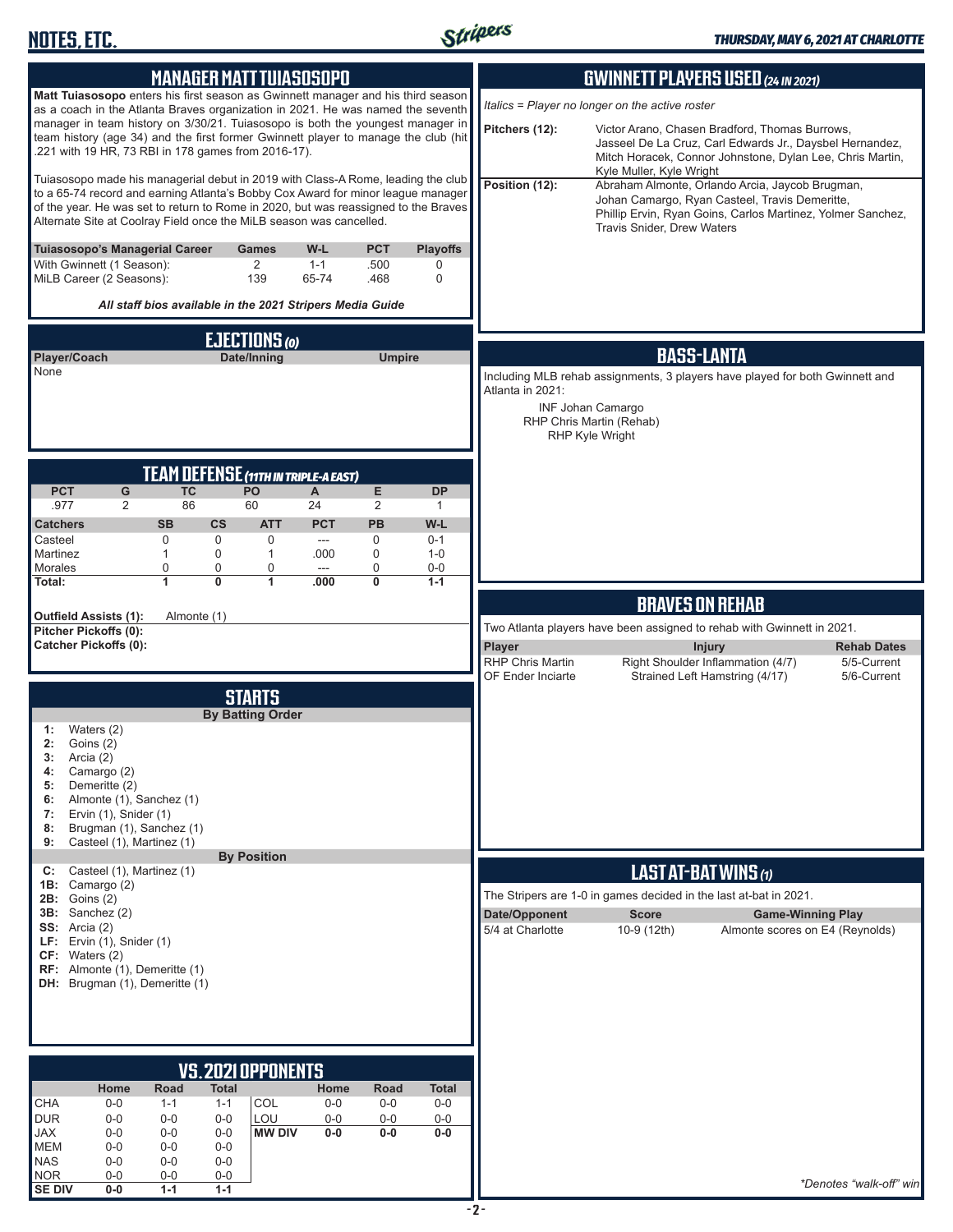

| <b>MANAGER MATT TUIASOSOPO</b>                                                                                                                                                                                                                                                                                                     | <b>GWINNETT PLAYERS USED (24 IN 2021)</b>                                                                                                                                                                               |
|------------------------------------------------------------------------------------------------------------------------------------------------------------------------------------------------------------------------------------------------------------------------------------------------------------------------------------|-------------------------------------------------------------------------------------------------------------------------------------------------------------------------------------------------------------------------|
| Matt Tuiasosopo enters his first season as Gwinnett manager and his third season<br>as a coach in the Atlanta Braves organization in 2021. He was named the seventh                                                                                                                                                                | Italics = Player no longer on the active roster                                                                                                                                                                         |
| manager in team history on 3/30/21. Tuiasosopo is both the youngest manager in<br>team history (age 34) and the first former Gwinnett player to manage the club (hit<br>.221 with 19 HR, 73 RBI in 178 games from 2016-17).                                                                                                        | Pitchers (12):<br>Victor Arano, Chasen Bradford, Thomas Burrows,<br>Jasseel De La Cruz, Carl Edwards Jr., Daysbel Hernandez,<br>Mitch Horacek, Connor Johnstone, Dylan Lee, Chris Martin,<br>Kyle Muller, Kyle Wright   |
| Tuiasosopo made his managerial debut in 2019 with Class-A Rome, leading the club<br>to a 65-74 record and earning Atlanta's Bobby Cox Award for minor league manager<br>of the year. He was set to return to Rome in 2020, but was reassigned to the Braves<br>Alternate Site at Coolray Field once the MiLB season was cancelled. | Position (12):<br>Abraham Almonte, Orlando Arcia, Jaycob Brugman,<br>Johan Camargo, Ryan Casteel, Travis Demeritte,<br>Phillip Ervin, Ryan Goins, Carlos Martinez, Yolmer Sanchez,<br><b>Travis Snider, Drew Waters</b> |
| <b>Tuiasosopo's Managerial Career</b><br><b>Games</b><br>W-L<br><b>PCT</b><br><b>Playoffs</b><br>With Gwinnett (1 Season):<br>$\overline{2}$<br>$1 - 1$<br>.500<br>0<br>MiLB Career (2 Seasons):<br>139<br>65-74<br>.468<br>$\mathbf 0$                                                                                            |                                                                                                                                                                                                                         |
| All staff bios available in the 2021 Stripers Media Guide                                                                                                                                                                                                                                                                          |                                                                                                                                                                                                                         |
| <b>EJECTIONS</b> (0)                                                                                                                                                                                                                                                                                                               |                                                                                                                                                                                                                         |
| Player/Coach<br>Date/Inning<br><b>Umpire</b><br>None                                                                                                                                                                                                                                                                               | <b>BASS-LANTA</b>                                                                                                                                                                                                       |
|                                                                                                                                                                                                                                                                                                                                    | Including MLB rehab assignments, 3 players have played for both Gwinnett and<br>Atlanta in 2021:                                                                                                                        |
|                                                                                                                                                                                                                                                                                                                                    | <b>INF Johan Camargo</b><br>RHP Chris Martin (Rehab)<br><b>RHP Kyle Wright</b>                                                                                                                                          |
|                                                                                                                                                                                                                                                                                                                                    |                                                                                                                                                                                                                         |
| TEAM DEFENSE (11TH IN TRIPLE-A EAST)<br><b>PCT</b><br>G<br><b>TC</b><br>PO<br>E<br>A<br><b>DP</b>                                                                                                                                                                                                                                  |                                                                                                                                                                                                                         |
| .977<br>$\overline{2}$<br>86<br>60<br>24<br>$\overline{2}$<br>1                                                                                                                                                                                                                                                                    |                                                                                                                                                                                                                         |
| <b>CS</b><br><b>PCT</b><br><b>PB</b><br>W-L<br><b>Catchers</b><br><b>SB</b><br><b>ATT</b><br>$\mathbf 0$<br>0<br>$\mathbf 0$<br>$\mathbf 0$<br>Casteel<br>$0 - 1$<br>$---$                                                                                                                                                         |                                                                                                                                                                                                                         |
| 0<br>$\mathbf{1}$<br>$\mathbf 0$<br>Martinez<br>1<br>.000<br>$1 - 0$                                                                                                                                                                                                                                                               |                                                                                                                                                                                                                         |
| 0<br>0<br>0<br>0<br>$0-0$<br>Morales<br>$\overline{a}$<br>$\bf{0}$<br>.000<br>Total:<br>1<br>$\mathbf{1}$<br>0<br>$1 - 1$                                                                                                                                                                                                          |                                                                                                                                                                                                                         |
|                                                                                                                                                                                                                                                                                                                                    | <b>BRAVES ON REHAB</b>                                                                                                                                                                                                  |
| <b>Outfield Assists (1):</b><br>Almonte (1)<br>Pitcher Pickoffs (0):                                                                                                                                                                                                                                                               | Two Atlanta players have been assigned to rehab with Gwinnett in 2021.                                                                                                                                                  |
| <b>Catcher Pickoffs (0):</b>                                                                                                                                                                                                                                                                                                       | Player<br><b>Injury</b><br><b>Rehab Dates</b><br><b>RHP Chris Martin</b><br>Right Shoulder Inflammation (4/7)<br>5/5-Current                                                                                            |
|                                                                                                                                                                                                                                                                                                                                    | Strained Left Hamstring (4/17)<br>OF Ender Inciarte<br>5/6-Current                                                                                                                                                      |
| <b>STARTS</b>                                                                                                                                                                                                                                                                                                                      |                                                                                                                                                                                                                         |
| <b>By Batting Order</b><br>Waters (2)<br>1:                                                                                                                                                                                                                                                                                        |                                                                                                                                                                                                                         |
| Goins (2)<br>2:                                                                                                                                                                                                                                                                                                                    |                                                                                                                                                                                                                         |
| 3:<br>Arcia (2)<br>4:<br>Camargo (2)                                                                                                                                                                                                                                                                                               |                                                                                                                                                                                                                         |
| Demeritte (2)<br>5:<br>Almonte (1), Sanchez (1)<br>6:                                                                                                                                                                                                                                                                              |                                                                                                                                                                                                                         |
| Ervin (1), Snider (1)<br>7:                                                                                                                                                                                                                                                                                                        |                                                                                                                                                                                                                         |
| 8:<br>Brugman (1), Sanchez (1)<br>Casteel (1), Martinez (1)<br>9:                                                                                                                                                                                                                                                                  |                                                                                                                                                                                                                         |
| <b>By Position</b><br>Casteel (1), Martinez (1)<br>C:                                                                                                                                                                                                                                                                              | LAST AT-BAT WINS (1)                                                                                                                                                                                                    |
| 1B:<br>Camargo (2)                                                                                                                                                                                                                                                                                                                 | The Stripers are 1-0 in games decided in the last at-bat in 2021.                                                                                                                                                       |
| <b>2B:</b> Goins (2)<br>$3B:$ Sanchez $(2)$                                                                                                                                                                                                                                                                                        | Date/Opponent<br><b>Score</b><br><b>Game-Winning Play</b>                                                                                                                                                               |
| SS: Arcia(2)<br>LF: Ervin $(1)$ , Snider $(1)$                                                                                                                                                                                                                                                                                     | 5/4 at Charlotte<br>10-9 (12th)<br>Almonte scores on E4 (Reynolds)                                                                                                                                                      |
| CF: Waters (2)<br><b>RF:</b> Almonte (1), Demeritte (1)                                                                                                                                                                                                                                                                            |                                                                                                                                                                                                                         |
| DH: Brugman (1), Demeritte (1)                                                                                                                                                                                                                                                                                                     |                                                                                                                                                                                                                         |
|                                                                                                                                                                                                                                                                                                                                    |                                                                                                                                                                                                                         |
|                                                                                                                                                                                                                                                                                                                                    |                                                                                                                                                                                                                         |
|                                                                                                                                                                                                                                                                                                                                    |                                                                                                                                                                                                                         |
| <b>VS. 2021 OPPONENTS</b>                                                                                                                                                                                                                                                                                                          |                                                                                                                                                                                                                         |
| Home<br>Road<br><b>Total</b><br>Home<br>Road<br><b>Total</b><br>COL<br>CHA<br>$0-0$<br>$1 - 1$<br>$0-0$<br>$0-0$<br>$0-0$<br>$1 - 1$                                                                                                                                                                                               |                                                                                                                                                                                                                         |
| <b>DUR</b><br>LOU<br>$0-0$<br>$0-0$<br>$0-0$<br>$0-0$<br>$0-0$<br>$0-0$<br><b>JAX</b><br>$0-0$<br><b>MW DIV</b><br>$0-0$<br>$0-0$<br>$0-0$<br>$0-0$<br>$0-0$                                                                                                                                                                       |                                                                                                                                                                                                                         |
| <b>MEM</b><br>$0-0$<br>$0-0$<br>$0-0$                                                                                                                                                                                                                                                                                              |                                                                                                                                                                                                                         |
| <b>NAS</b><br>$0-0$<br>$0-0$<br>$0-0$<br><b>NOR</b><br>$0-0$<br>$0-0$<br>0-0                                                                                                                                                                                                                                                       |                                                                                                                                                                                                                         |
| <b>SE DIV</b><br>$0-0$<br>$1 - 1$<br>$1 - 1$                                                                                                                                                                                                                                                                                       | *Denotes "walk-off" win                                                                                                                                                                                                 |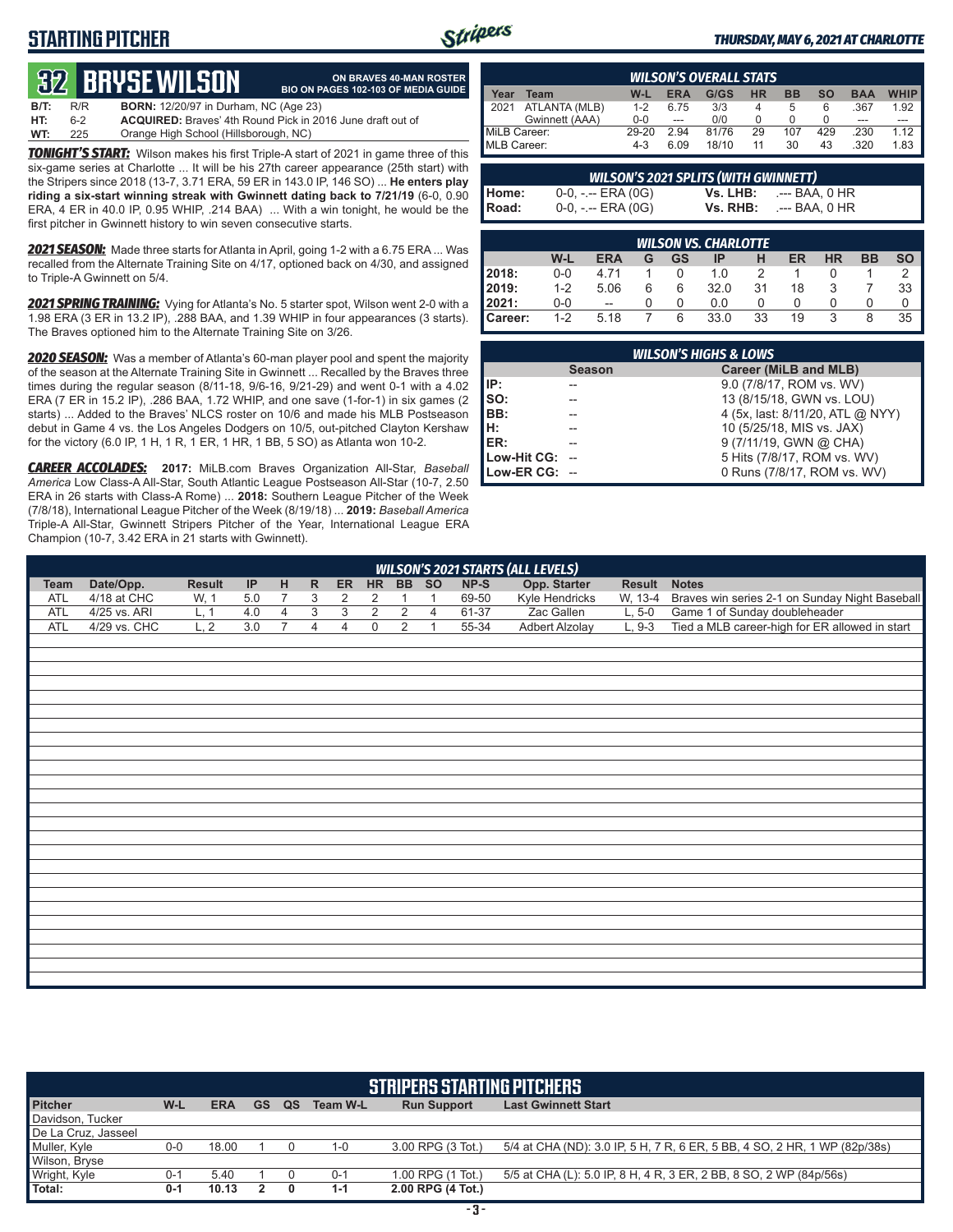## **STARTING PITCHER**



**ON BRAVES 40-MAN ROSTER BIO ON PAGES 102-103 OF MEDIA GUIDE**

#### *THURSDAY, MAY 6, 2021 AT CHARLOTTE*

# **32****BRYSE WILSON**

**B/T:** R/R **BORN:** 12/20/97 in Durham, NC (Age 23) **HT:** 6-2 **ACQUIRED:** Braves' 4th Round Pick in 2016 June draft out of Orange High School (Hillsborough, NC)

*TONIGHT'S START:* Wilson makes his first Triple-A start of 2021 in game three of this six-game series at Charlotte ... It will be his 27th career appearance (25th start) with the Stripers since 2018 (13-7, 3.71 ERA, 59 ER in 143.0 IP, 146 SO) ... **He enters play riding a six-start winning streak with Gwinnett dating back to 7/21/19** (6-0, 0.90 ERA, 4 ER in 40.0 IP, 0.95 WHIP, .214 BAA) ... With a win tonight, he would be the first pitcher in Gwinnett history to win seven consecutive starts.

*2021 SEASON:* Made three starts for Atlanta in April, going 1-2 with a 6.75 ERA ... Was recalled from the Alternate Training Site on 4/17, optioned back on 4/30, and assigned to Triple-A Gwinnett on 5/4.

*2021 SPRING TRAINING:* Vying for Atlanta's No. 5 starter spot, Wilson went 2-0 with a 1.98 ERA (3 ER in 13.2 IP), .288 BAA, and 1.39 WHIP in four appearances (3 starts). The Braves optioned him to the Alternate Training Site on 3/26.

*2020 SEASON:* Was a member of Atlanta's 60-man player pool and spent the majority of the season at the Alternate Training Site in Gwinnett ... Recalled by the Braves three times during the regular season (8/11-18, 9/6-16, 9/21-29) and went 0-1 with a 4.02 ERA (7 ER in 15.2 IP), .286 BAA, 1.72 WHIP, and one save (1-for-1) in six games (2 starts) ... Added to the Braves' NLCS roster on 10/6 and made his MLB Postseason debut in Game 4 vs. the Los Angeles Dodgers on 10/5, out-pitched Clayton Kershaw for the victory (6.0 IP, 1 H, 1 R, 1 ER, 1 HR, 1 BB, 5 SO) as Atlanta won 10-2.

*CAREER ACCOLADES:* **2017:** MiLB.com Braves Organization All-Star, *Baseball America* Low Class-A All-Star, South Atlantic League Postseason All-Star (10-7, 2.50 ERA in 26 starts with Class-A Rome) ... **2018:** Southern League Pitcher of the Week (7/8/18), International League Pitcher of the Week (8/19/18) ... **2019:** *Baseball America*  Triple-A All-Star, Gwinnett Stripers Pitcher of the Year, International League ERA Champion (10-7, 3.42 ERA in 21 starts with Gwinnett).

| <b>WILSON'S OVERALL STATS</b> |                |         |      |       |           |           |     |            |             |
|-------------------------------|----------------|---------|------|-------|-----------|-----------|-----|------------|-------------|
| Year                          | Team           | W-L     | ERA  | G/GS  | <b>HR</b> | <b>BB</b> | SΟ  | <b>BAA</b> | <b>WHIP</b> |
| $\blacksquare$ 2021           | ATLANTA (MLB)  | $1 - 2$ | 6.75 | 3/3   |           | 5         | 6   | .367       | 1.92        |
|                               | Gwinnett (AAA) | $0 - 0$ | ---  | 0/0   |           |           |     | ---        |             |
| MiLB Career:                  |                | 29-20   | 2.94 | 81/76 | 29        | 107       | 429 | .230       | 1.12        |
| MLB Career:                   |                | 4-3     | 6.09 | 18/10 | 11        | 30        | 43  | .320       | 1.83        |

| <b>WILSON'S 2021 SPLITS (WITH GWINNETT)</b> |                       |  |                            |  |  |
|---------------------------------------------|-----------------------|--|----------------------------|--|--|
| Home:<br>Road:                              | $0-0, - -$ ERA $(0G)$ |  | $Vs. LHB: \t--- BAA. 0 HR$ |  |  |
|                                             | $0-0, - -$ ERA $(0G)$ |  | $Vs. RHB: \t--- BAA, 0 HR$ |  |  |

|                  |         |            |   |           | <b>WILSON VS. CHARLOTTE</b> |    |    |    |           |    |
|------------------|---------|------------|---|-----------|-----------------------------|----|----|----|-----------|----|
|                  | W-L     | <b>ERA</b> | G | <b>GS</b> | ΙP                          | н  | ER | HR | <b>BB</b> | SΟ |
| 2018:            | $0 - 0$ | 4 7 1      |   |           | 1 0                         |    |    |    |           |    |
| <b>2019:</b>     | $1 - 2$ | 5.06       |   | 6         | 32.0                        | 31 | 18 |    |           | 33 |
| 12021:           | $0 - 0$ | $- -$      |   | O         | 0.0                         |    |    |    |           |    |
| <b>I</b> Career: | $1 - 2$ | 5.18       |   | 6         | 33.0                        | 33 | 19 | 3  | 8         | 35 |

| <b>WILSON'S HIGHS &amp; LOWS</b> |               |                                  |  |  |  |  |
|----------------------------------|---------------|----------------------------------|--|--|--|--|
|                                  | <b>Season</b> | Career (MiLB and MLB)            |  |  |  |  |
| IP:                              |               | 9.0 (7/8/17, ROM vs. WV)         |  |  |  |  |
| SO:                              |               | 13 (8/15/18, GWN vs. LOU)        |  |  |  |  |
| BB:                              |               | 4 (5x, last: 8/11/20, ATL @ NYY) |  |  |  |  |
| н:                               |               | 10 (5/25/18, MIS vs. JAX)        |  |  |  |  |
| ER:                              |               | 9 (7/11/19, GWN @ CHA)           |  |  |  |  |
| Low-Hit CG:                      |               | 5 Hits (7/8/17, ROM vs. WV)      |  |  |  |  |
| Low-ER $CG: -$                   |               | 0 Runs (7/8/17, ROM vs. WV)      |  |  |  |  |

|             | <b>WILSON'S 2021 STARTS (ALL LEVELS)</b> |               |     |                |                |                |                |                |                |           |                       |          |                                                |
|-------------|------------------------------------------|---------------|-----|----------------|----------------|----------------|----------------|----------------|----------------|-----------|-----------------------|----------|------------------------------------------------|
| <b>Team</b> | Date/Opp.                                | <b>Result</b> | IP  | H              | $\mathsf{R}$   |                | ER HR          |                | BB SO          | $NP-S$    | Opp. Starter          | Result   | <b>Notes</b>                                   |
| <b>ATL</b>  | 4/18 at CHC                              | W, 1          | 5.0 | $\overline{7}$ | 3              | $\overline{2}$ | 2              | 1              | $\mathbf{1}$   | 69-50     | Kyle Hendricks        | W, 13-4  | Braves win series 2-1 on Sunday Night Baseball |
| <b>ATL</b>  | 4/25 vs. ARI                             | L, 1          | 4.0 | $\overline{4}$ | $\overline{3}$ | $\overline{3}$ | $\overline{2}$ | $\overline{2}$ | $\overline{4}$ | 61-37     | Zac Gallen            | $L, 5-0$ | Game 1 of Sunday doubleheader                  |
| <b>ATL</b>  | 4/29 vs. CHC                             | L, 2          | 3.0 | $\overline{7}$ | $\overline{4}$ | 4              | $\mathbf 0$    | $\overline{2}$ | $\overline{1}$ | $55 - 34$ | <b>Adbert Alzolay</b> | $L, 9-3$ | Tied a MLB career-high for ER allowed in start |
|             |                                          |               |     |                |                |                |                |                |                |           |                       |          |                                                |
|             |                                          |               |     |                |                |                |                |                |                |           |                       |          |                                                |
|             |                                          |               |     |                |                |                |                |                |                |           |                       |          |                                                |
|             |                                          |               |     |                |                |                |                |                |                |           |                       |          |                                                |
|             |                                          |               |     |                |                |                |                |                |                |           |                       |          |                                                |
|             |                                          |               |     |                |                |                |                |                |                |           |                       |          |                                                |
|             |                                          |               |     |                |                |                |                |                |                |           |                       |          |                                                |
|             |                                          |               |     |                |                |                |                |                |                |           |                       |          |                                                |
|             |                                          |               |     |                |                |                |                |                |                |           |                       |          |                                                |
|             |                                          |               |     |                |                |                |                |                |                |           |                       |          |                                                |
|             |                                          |               |     |                |                |                |                |                |                |           |                       |          |                                                |
|             |                                          |               |     |                |                |                |                |                |                |           |                       |          |                                                |
|             |                                          |               |     |                |                |                |                |                |                |           |                       |          |                                                |
|             |                                          |               |     |                |                |                |                |                |                |           |                       |          |                                                |
|             |                                          |               |     |                |                |                |                |                |                |           |                       |          |                                                |
|             |                                          |               |     |                |                |                |                |                |                |           |                       |          |                                                |
|             |                                          |               |     |                |                |                |                |                |                |           |                       |          |                                                |
|             |                                          |               |     |                |                |                |                |                |                |           |                       |          |                                                |
|             |                                          |               |     |                |                |                |                |                |                |           |                       |          |                                                |
|             |                                          |               |     |                |                |                |                |                |                |           |                       |          |                                                |
|             |                                          |               |     |                |                |                |                |                |                |           |                       |          |                                                |
|             |                                          |               |     |                |                |                |                |                |                |           |                       |          |                                                |
|             |                                          |               |     |                |                |                |                |                |                |           |                       |          |                                                |
|             |                                          |               |     |                |                |                |                |                |                |           |                       |          |                                                |

| <b>STRIPERS STARTING PITCHERS</b> |         |            |           |    |          |                    |                                                                           |  |  |  |
|-----------------------------------|---------|------------|-----------|----|----------|--------------------|---------------------------------------------------------------------------|--|--|--|
| <b>Pitcher</b>                    | W-L     | <b>ERA</b> | <b>GS</b> | QS | Team W-L | <b>Run Support</b> | <b>Last Gwinnett Start</b>                                                |  |  |  |
| Davidson, Tucker                  |         |            |           |    |          |                    |                                                                           |  |  |  |
| De La Cruz, Jasseel               |         |            |           |    |          |                    |                                                                           |  |  |  |
| Muller, Kyle                      | 0-0     | 18.00      |           |    | $1 - 0$  | 3.00 RPG (3 Tot.)  | 5/4 at CHA (ND): 3.0 IP, 5 H, 7 R, 6 ER, 5 BB, 4 SO, 2 HR, 1 WP (82p/38s) |  |  |  |
| Wilson, Bryse                     |         |            |           |    |          |                    |                                                                           |  |  |  |
| Wright, Kyle                      | $0 - 1$ | 5.40       |           |    | $0 - 1$  | 1.00 RPG (1 Tot.)  | 5/5 at CHA (L): 5.0 IP, 8 H, 4 R, 3 ER, 2 BB, 8 SO, 2 WP (84p/56s)        |  |  |  |
| Total:                            | $0 - 1$ | 10.13      |           | 0  | $1 - 1$  | 2.00 RPG (4 Tot.)  |                                                                           |  |  |  |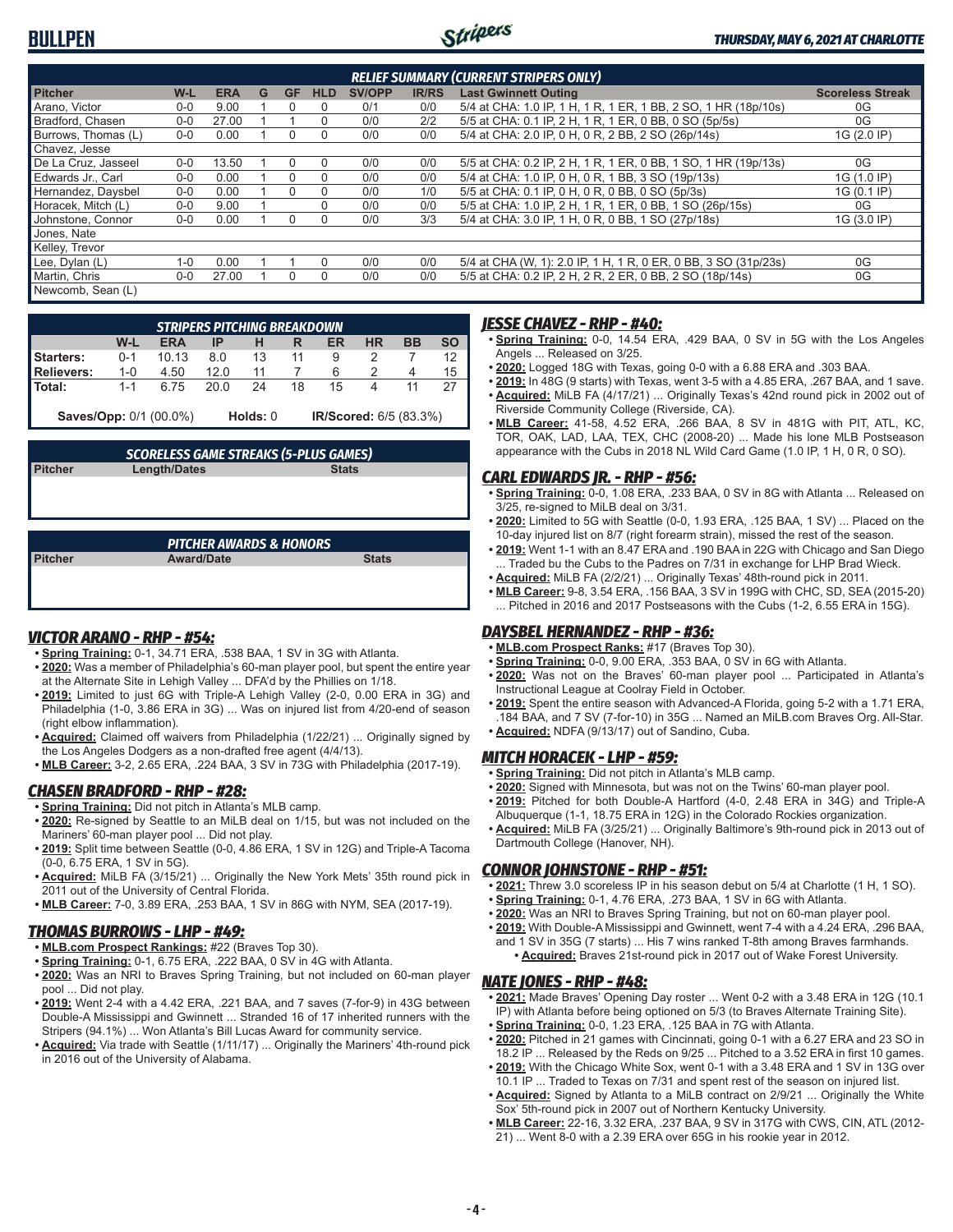## **BULLPEN**



| <b>RELIEF SUMMARY (CURRENT STRIPERS ONLY)</b> |         |            |   |           |            |               |              |                                                                 |                         |
|-----------------------------------------------|---------|------------|---|-----------|------------|---------------|--------------|-----------------------------------------------------------------|-------------------------|
| <b>Pitcher</b>                                | $W-L$   | <b>ERA</b> | G | <b>GF</b> | <b>HLD</b> | <b>SV/OPP</b> | <b>IR/RS</b> | <b>Last Gwinnett Outing</b>                                     | <b>Scoreless Streak</b> |
| Arano, Victor                                 | $0-0$   | 9.00       |   |           | $\Omega$   | 0/1           | 0/0          | 5/4 at CHA: 1.0 IP, 1 H, 1 R, 1 ER, 1 BB, 2 SO, 1 HR (18p/10s)  | 0G                      |
| Bradford, Chasen                              | $0 - 0$ | 27.00      |   |           | 0          | 0/0           | 2/2          | 5/5 at CHA: 0.1 IP, 2 H, 1 R, 1 ER, 0 BB, 0 SO (5p/5s)          | 0G                      |
| Burrows, Thomas (L)                           | $0 - 0$ | 0.00       |   |           | 0          | 0/0           | 0/0          | 5/4 at CHA: 2.0 IP, 0 H, 0 R, 2 BB, 2 SO (26p/14s)              | 1G (2.0 IP)             |
| Chavez, Jesse                                 |         |            |   |           |            |               |              |                                                                 |                         |
| De La Cruz, Jasseel                           | $0 - 0$ | 13.50      |   |           | $\Omega$   | 0/0           | 0/0          | 5/5 at CHA: 0.2 IP, 2 H, 1 R, 1 ER, 0 BB, 1 SO, 1 HR (19p/13s)  | 0G                      |
| Edwards Jr., Carl                             | $0 - 0$ | 0.00       |   |           | 0          | 0/0           | 0/0          | 5/4 at CHA: 1.0 IP, 0 H, 0 R, 1 BB, 3 SO (19p/13s)              | 1G (1.0 IP)             |
| Hernandez, Daysbel                            | $0 - 0$ | 0.00       |   | $\cup$    | 0          | 0/0           | 1/0          | 5/5 at CHA: 0.1 IP, 0 H, 0 R, 0 BB, 0 SO (5p/3s)                | 1G (0.1 IP)             |
| Horacek. Mitch (L)                            | $0 - 0$ | 9.00       |   |           | 0          | 0/0           | 0/0          | 5/5 at CHA: 1.0 IP, 2 H, 1 R, 1 ER, 0 BB, 1 SO (26p/15s)        | 0G                      |
| Johnstone, Connor                             | $0-0$   | 0.00       |   | $\Omega$  | 0          | 0/0           | 3/3          | 5/4 at CHA: 3.0 IP, 1 H, 0 R, 0 BB, 1 SO (27p/18s)              | 1G (3.0 IP)             |
| Jones, Nate                                   |         |            |   |           |            |               |              |                                                                 |                         |
| Kelley, Trevor                                |         |            |   |           |            |               |              |                                                                 |                         |
| Lee, Dylan (L)                                | $1 - 0$ | 0.00       |   |           | $\Omega$   | 0/0           | 0/0          | 5/4 at CHA (W, 1): 2.0 IP, 1 H, 1 R, 0 ER, 0 BB, 3 SO (31p/23s) | 0G                      |
| Martin, Chris                                 | $0-0$   | 27.00      |   |           | 0          | 0/0           | 0/0          | 5/5 at CHA: 0.2 IP, 2 H, 2 R, 2 ER, 0 BB, 2 SO (18p/14s)        | 0G                      |
| Newcomb, Sean (L)                             |         |            |   |           |            |               |              |                                                                 |                         |

|                               | <b>STRIPERS PITCHING BREAKDOWN</b> |            |      |          |    |                        |    |    |           |  |  |  |  |
|-------------------------------|------------------------------------|------------|------|----------|----|------------------------|----|----|-----------|--|--|--|--|
|                               | W-L                                | <b>ERA</b> | IP   |          |    | ER                     | ΗR | BB | <b>SO</b> |  |  |  |  |
| <b>Starters:</b>              | $0 - 1$                            | 1013       | 8.0  | 13       |    | 9                      |    |    |           |  |  |  |  |
| Relievers:                    | $1 - 0$                            | 4.50       | 12.0 |          |    | 6                      |    |    | 15        |  |  |  |  |
| Total:                        | $1 - 1$                            | 675        | 20 O | 24       | 18 | 15                     |    |    |           |  |  |  |  |
| <b>Saves/Opp: 0/1 (00.0%)</b> |                                    |            |      | Holds: 0 |    | IR/Scored: 6/5 (83.3%) |    |    |           |  |  |  |  |

## *SCORELESS GAME STREAKS (5-PLUS GAMES)*

**Pitcher Length/Dates** 

## *PITCHER AWARDS & HONORS*

**Pitcher Award/Date Stats**

### *VICTOR ARANO - RHP - #54:*

- **• Spring Training:** 0-1, 34.71 ERA, .538 BAA, 1 SV in 3G with Atlanta.
- **• 2020:** Was a member of Philadelphia's 60-man player pool, but spent the entire year at the Alternate Site in Lehigh Valley ... DFA'd by the Phillies on 1/18.
- **• 2019:** Limited to just 6G with Triple-A Lehigh Valley (2-0, 0.00 ERA in 3G) and Philadelphia (1-0, 3.86 ERA in 3G) ... Was on injured list from 4/20-end of season (right elbow inflammation).
- **• Acquired:** Claimed off waivers from Philadelphia (1/22/21) ... Originally signed by the Los Angeles Dodgers as a non-drafted free agent (4/4/13).
- **• MLB Career:** 3-2, 2.65 ERA, .224 BAA, 3 SV in 73G with Philadelphia (2017-19).

#### *CHASEN BRADFORD - RHP - #28:*

- **• Spring Training:** Did not pitch in Atlanta's MLB camp.
- **• 2020:** Re-signed by Seattle to an MiLB deal on 1/15, but was not included on the Mariners' 60-man player pool ... Did not play.
- **• 2019:** Split time between Seattle (0-0, 4.86 ERA, 1 SV in 12G) and Triple-A Tacoma (0-0, 6.75 ERA, 1 SV in 5G).
- **• Acquired:** MiLB FA (3/15/21) ... Originally the New York Mets' 35th round pick in 2011 out of the University of Central Florida.
- **• MLB Career:** 7-0, 3.89 ERA, .253 BAA, 1 SV in 86G with NYM, SEA (2017-19).

## *THOMAS BURROWS - LHP - #49:*

- **• MLB.com Prospect Rankings:** #22 (Braves Top 30).
- **• Spring Training:** 0-1, 6.75 ERA, .222 BAA, 0 SV in 4G with Atlanta.
- **• 2020:** Was an NRI to Braves Spring Training, but not included on 60-man player pool ... Did not play.
- **• 2019:** Went 2-4 with a 4.42 ERA, .221 BAA, and 7 saves (7-for-9) in 43G between Double-A Mississippi and Gwinnett ... Stranded 16 of 17 inherited runners with the Stripers (94.1%) ... Won Atlanta's Bill Lucas Award for community service.
- **• Acquired:** Via trade with Seattle (1/11/17) ... Originally the Mariners' 4th-round pick in 2016 out of the University of Alabama.

#### *JESSE CHAVEZ - RHP - #40:*

- **• Spring Training:** 0-0, 14.54 ERA, .429 BAA, 0 SV in 5G with the Los Angeles Angels ... Released on 3/25.
- **• 2020:** Logged 18G with Texas, going 0-0 with a 6.88 ERA and .303 BAA.
- **• 2019:** In 48G (9 starts) with Texas, went 3-5 with a 4.85 ERA, .267 BAA, and 1 save. **• Acquired:** MiLB FA (4/17/21) ... Originally Texas's 42nd round pick in 2002 out of Riverside Community College (Riverside, CA).
- **• MLB Career:** 41-58, 4.52 ERA, .266 BAA, 8 SV in 481G with PIT, ATL, KC, TOR, OAK, LAD, LAA, TEX, CHC (2008-20) ... Made his lone MLB Postseason appearance with the Cubs in 2018 NL Wild Card Game (1.0 IP, 1 H, 0 R, 0 SO).

#### *CARL EDWARDS JR. - RHP - #56:*

- **• Spring Training:** 0-0, 1.08 ERA, .233 BAA, 0 SV in 8G with Atlanta ... Released on 3/25, re-signed to MiLB deal on 3/31.
- **• 2020:** Limited to 5G with Seattle (0-0, 1.93 ERA, .125 BAA, 1 SV) ... Placed on the 10-day injured list on 8/7 (right forearm strain), missed the rest of the season.
- **• 2019:** Went 1-1 with an 8.47 ERA and .190 BAA in 22G with Chicago and San Diego ... Traded bu the Cubs to the Padres on 7/31 in exchange for LHP Brad Wieck.
- **• Acquired:** MiLB FA (2/2/21) ... Originally Texas' 48th-round pick in 2011. **• MLB Career:** 9-8, 3.54 ERA, .156 BAA, 3 SV in 199G with CHC, SD, SEA (2015-20)
- ... Pitched in 2016 and 2017 Postseasons with the Cubs (1-2, 6.55 ERA in 15G).

#### *DAYSBEL HERNANDEZ - RHP - #36:*

- **• MLB.com Prospect Ranks:** #17 (Braves Top 30).
- **• Spring Training:** 0-0, 9.00 ERA, .353 BAA, 0 SV in 6G with Atlanta.
- **• 2020:** Was not on the Braves' 60-man player pool ... Participated in Atlanta's Instructional League at Coolray Field in October.
- **• 2019:** Spent the entire season with Advanced-A Florida, going 5-2 with a 1.71 ERA, .184 BAA, and 7 SV (7-for-10) in 35G ... Named an MiLB.com Braves Org. All-Star.
- **• Acquired:** NDFA (9/13/17) out of Sandino, Cuba.

### *MITCH HORACEK - LHP - #59:*

- **• Spring Training:** Did not pitch in Atlanta's MLB camp.
- **• 2020:** Signed with Minnesota, but was not on the Twins' 60-man player pool.
- **• 2019:** Pitched for both Double-A Hartford (4-0, 2.48 ERA in 34G) and Triple-A Albuquerque (1-1, 18.75 ERA in 12G) in the Colorado Rockies organization.
- **• Acquired:** MiLB FA (3/25/21) ... Originally Baltimore's 9th-round pick in 2013 out of Dartmouth College (Hanover, NH).

## *CONNOR JOHNSTONE - RHP - #51:*

- **• 2021:** Threw 3.0 scoreless IP in his season debut on 5/4 at Charlotte (1 H, 1 SO).
- **• Spring Training:** 0-1, 4.76 ERA, .273 BAA, 1 SV in 6G with Atlanta.
- **• 2020:** Was an NRI to Braves Spring Training, but not on 60-man player pool.
- **• 2019:** With Double-A Mississippi and Gwinnett, went 7-4 with a 4.24 ERA, .296 BAA, and 1 SV in 35G (7 starts) ... His 7 wins ranked T-8th among Braves farmhands. **• Acquired:** Braves 21st-round pick in 2017 out of Wake Forest University.

### *NATE JONES - RHP - #48:*

- **• 2021:** Made Braves' Opening Day roster ... Went 0-2 with a 3.48 ERA in 12G (10.1 IP) with Atlanta before being optioned on 5/3 (to Braves Alternate Training Site).
- **• Spring Training:** 0-0, 1.23 ERA, .125 BAA in 7G with Atlanta.
- **• 2020:** Pitched in 21 games with Cincinnati, going 0-1 with a 6.27 ERA and 23 SO in 18.2 IP ... Released by the Reds on 9/25 ... Pitched to a 3.52 ERA in first 10 games.
- **• 2019:** With the Chicago White Sox, went 0-1 with a 3.48 ERA and 1 SV in 13G over 10.1 IP ... Traded to Texas on 7/31 and spent rest of the season on injured list.
- **• Acquired:** Signed by Atlanta to a MiLB contract on 2/9/21 ... Originally the White Sox' 5th-round pick in 2007 out of Northern Kentucky University.
- **• MLB Career:** 22-16, 3.32 ERA, .237 BAA, 9 SV in 317G with CWS, CIN, ATL (2012- 21) ... Went 8-0 with a 2.39 ERA over 65G in his rookie year in 2012.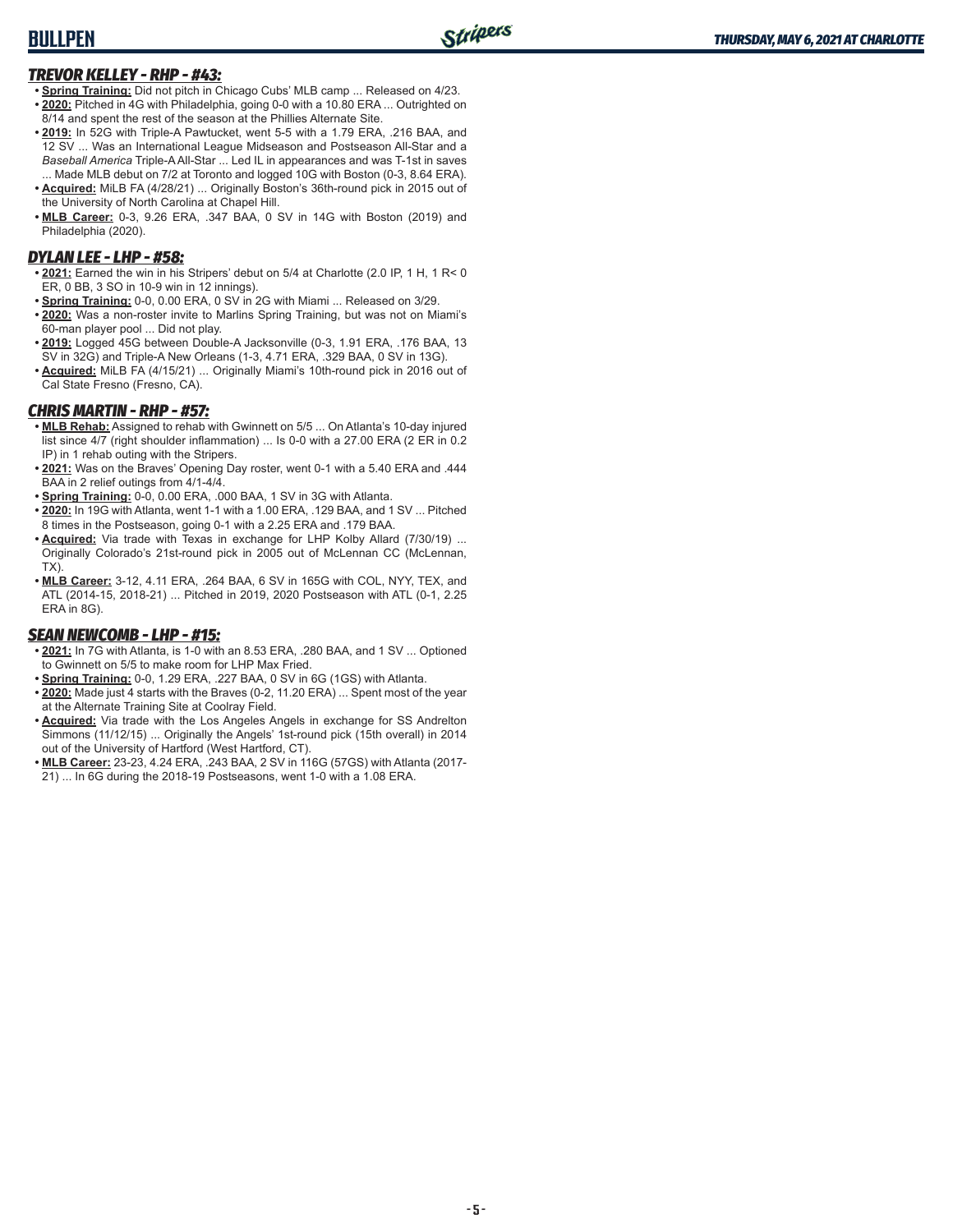## **BULLPEN**

### *TREVOR KELLEY - RHP - #43:*

- **• Spring Training:** Did not pitch in Chicago Cubs' MLB camp ... Released on 4/23. **• 2020:** Pitched in 4G with Philadelphia, going 0-0 with a 10.80 ERA ... Outrighted on 8/14 and spent the rest of the season at the Phillies Alternate Site.
- **• 2019:** In 52G with Triple-A Pawtucket, went 5-5 with a 1.79 ERA, .216 BAA, and 12 SV ... Was an International League Midseason and Postseason All-Star and a *Baseball America* Triple-A All-Star ... Led IL in appearances and was T-1st in saves ... Made MLB debut on 7/2 at Toronto and logged 10G with Boston (0-3, 8.64 ERA).
- **• Acquired:** MiLB FA (4/28/21) ... Originally Boston's 36th-round pick in 2015 out of the University of North Carolina at Chapel Hill.
- **• MLB Career:** 0-3, 9.26 ERA, .347 BAA, 0 SV in 14G with Boston (2019) and Philadelphia (2020).

## *DYLAN LEE - LHP - #58:*

- **• 2021:** Earned the win in his Stripers' debut on 5/4 at Charlotte (2.0 IP, 1 H, 1 R< 0 ER, 0 BB, 3 SO in 10-9 win in 12 innings).
- **• Spring Training:** 0-0, 0.00 ERA, 0 SV in 2G with Miami ... Released on 3/29.
- **• 2020:** Was a non-roster invite to Marlins Spring Training, but was not on Miami's 60-man player pool ... Did not play.
- **• 2019:** Logged 45G between Double-A Jacksonville (0-3, 1.91 ERA, .176 BAA, 13 SV in 32G) and Triple-A New Orleans (1-3, 4.71 ERA, .329 BAA, 0 SV in 13G).
- **• Acquired:** MiLB FA (4/15/21) ... Originally Miami's 10th-round pick in 2016 out of Cal State Fresno (Fresno, CA).

## *CHRIS MARTIN - RHP - #57:*

- **• MLB Rehab:** Assigned to rehab with Gwinnett on 5/5 ... On Atlanta's 10-day injured list since 4/7 (right shoulder inflammation) ... Is 0-0 with a 27.00 ERA (2 ER in 0.2 IP) in 1 rehab outing with the Stripers.
- **• 2021:** Was on the Braves' Opening Day roster, went 0-1 with a 5.40 ERA and .444 BAA in 2 relief outings from 4/1-4/4.
- **• Spring Training:** 0-0, 0.00 ERA, .000 BAA, 1 SV in 3G with Atlanta.
- **• 2020:** In 19G with Atlanta, went 1-1 with a 1.00 ERA, .129 BAA, and 1 SV ... Pitched 8 times in the Postseason, going 0-1 with a 2.25 ERA and .179 BAA.
- **• Acquired:** Via trade with Texas in exchange for LHP Kolby Allard (7/30/19) ... Originally Colorado's 21st-round pick in 2005 out of McLennan CC (McLennan, TX).
- **• MLB Career:** 3-12, 4.11 ERA, .264 BAA, 6 SV in 165G with COL, NYY, TEX, and ATL (2014-15, 2018-21) ... Pitched in 2019, 2020 Postseason with ATL (0-1, 2.25 ERA in 8G).

## *SEAN NEWCOMB - LHP - #15:*

- **• 2021:** In 7G with Atlanta, is 1-0 with an 8.53 ERA, .280 BAA, and 1 SV ... Optioned to Gwinnett on 5/5 to make room for LHP Max Fried.
- **• Spring Training:** 0-0, 1.29 ERA, .227 BAA, 0 SV in 6G (1GS) with Atlanta.
- **• 2020:** Made just 4 starts with the Braves (0-2, 11.20 ERA) ... Spent most of the year at the Alternate Training Site at Coolray Field.
- **• Acquired:** Via trade with the Los Angeles Angels in exchange for SS Andrelton Simmons (11/12/15) ... Originally the Angels' 1st-round pick (15th overall) in 2014 out of the University of Hartford (West Hartford, CT).
- **• MLB Career:** 23-23, 4.24 ERA, .243 BAA, 2 SV in 116G (57GS) with Atlanta (2017- 21) ... In 6G during the 2018-19 Postseasons, went 1-0 with a 1.08 ERA.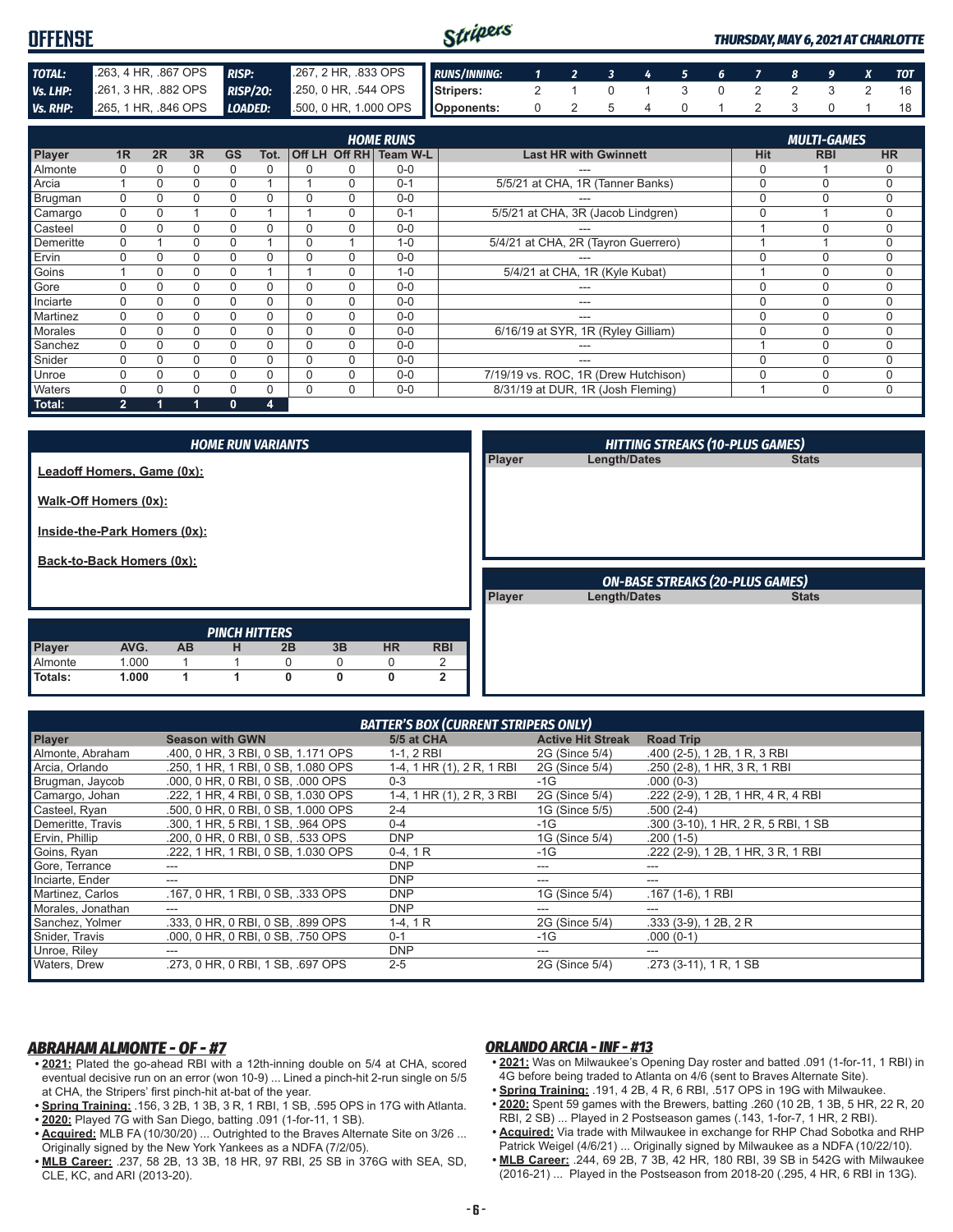| <b>OFFENSE</b>  |                      |          |          |              |                 |          |                       |                                            | Stripers            |                                     |                              |                         |   |   |          |               |               |                                  |   | <b>THURSDAY, MAY 6, 2021 AT CHARLOTTE</b> |
|-----------------|----------------------|----------|----------|--------------|-----------------|----------|-----------------------|--------------------------------------------|---------------------|-------------------------------------|------------------------------|-------------------------|---|---|----------|---------------|---------------|----------------------------------|---|-------------------------------------------|
| TOTAL:          | .263, 4 HR, .867 OPS |          |          | <b>RISP:</b> |                 |          | .267, 2 HR, .833 OPS  |                                            | <b>RUNS/INNING:</b> | 1                                   | $\overline{2}$               | $\overline{\mathbf{3}}$ | 4 | 5 | 6        |               | 8             | 9                                | X | <b>TOT</b>                                |
| Vs. LHP:        | .261. 3 HR. .882 OPS |          |          |              | <b>RISP/20:</b> |          | .250, 0 HR, .544 OPS  |                                            | Stripers:           | 2                                   |                              | 0                       |   | 3 | $\Omega$ | $\mathcal{P}$ | $\mathcal{P}$ | 3                                | 2 | 16                                        |
| <b>Vs. RHP:</b> | .265, 1 HR, .846 OPS |          |          | LOADED:      |                 |          | .500, 0 HR, 1.000 OPS |                                            | Opponents:          | 0                                   | 2                            | 5                       | 4 | 0 |          | 2             | 3             | 0                                |   | 18                                        |
| Player          | 1 <sub>R</sub>       | 2R       | 3R       | <b>GS</b>    | Tot.            |          |                       | <b>HOME RUNS</b><br>Off LH Off RH Team W-L |                     |                                     | <b>Last HR with Gwinnett</b> |                         |   |   |          | <b>Hit</b>    |               | <b>MULTI-GAMES</b><br><b>RBI</b> |   | <b>HR</b>                                 |
| Almonte         |                      | 0        | 0        | 0            | $\Omega$        |          | 0                     | $0-0$                                      |                     |                                     | ---                          |                         |   |   |          | 0             |               |                                  |   | 0                                         |
| Arcia           |                      | 0        | 0        | $\Omega$     |                 |          | 0                     | $0 - 1$                                    |                     | 5/5/21 at CHA, 1R (Tanner Banks)    |                              |                         |   |   |          | 0             |               | $\Omega$                         |   | $\mathbf 0$                               |
| Brugman         | $\Omega$             | 0        | $\Omega$ | $\Omega$     | $\Omega$        |          | 0                     | $0 - 0$                                    |                     |                                     | ---                          |                         |   |   |          | $\Omega$      |               | 0                                |   | $\Omega$                                  |
| Camargo         | $\Omega$             | $\Omega$ |          | $\Omega$     |                 |          | 0                     | $0 - 1$                                    |                     | 5/5/21 at CHA, 3R (Jacob Lindgren)  |                              |                         |   |   |          | $\Omega$      |               |                                  |   | $\Omega$                                  |
| Casteel         | $\Omega$             | U        | $\Omega$ | $\Omega$     | $\Omega$        | $\Omega$ | $\Omega$              | $0-0$                                      |                     |                                     | $- - -$                      |                         |   |   |          |               |               | 0                                |   | $\Omega$                                  |
| Demeritte       |                      |          | $\Omega$ | $\Omega$     |                 | $\Omega$ |                       | $1 - 0$                                    |                     | 5/4/21 at CHA, 2R (Tayron Guerrero) |                              |                         |   |   |          |               |               |                                  |   | 0                                         |
| Ervin           |                      | 0        | $\Omega$ | $\Omega$     | $\Omega$        | $\Omega$ | 0                     | $0 - 0$                                    |                     |                                     | ---                          |                         |   |   |          | $\Omega$      |               | $\Omega$                         |   | $\mathbf 0$                               |
| Goins           |                      |          | $\Omega$ | $\Omega$     |                 |          |                       | $1 - 0$                                    |                     | 5/4/21 at CHA, 1R (Kyle Kubat)      |                              |                         |   |   |          |               |               | 0                                |   | 0                                         |

| Gore           |  |  |  | $0-0$   | ---                                  |  |  |
|----------------|--|--|--|---------|--------------------------------------|--|--|
| Inciarte       |  |  |  | $0-0$   | ---                                  |  |  |
| Martinez       |  |  |  | $0 - 0$ | $  -$                                |  |  |
| <b>Morales</b> |  |  |  | $0-0$   | 6/16/19 at SYR, 1R (Ryley Gilliam)   |  |  |
| Sanchez        |  |  |  | $0-0$   | ---                                  |  |  |
| Snider         |  |  |  | $0 - 0$ | ---                                  |  |  |
| Unroe          |  |  |  | $0 - 0$ | 7/19/19 vs. ROC, 1R (Drew Hutchison) |  |  |
| Waters         |  |  |  | $0 - 0$ | 8/31/19 at DUR, 1R (Josh Fleming)    |  |  |
| Total:         |  |  |  |         |                                      |  |  |

*HITTING STREAKS (10-PLUS GAMES)* **Player Length/Dates** *PINCH HITTERS* **Player AVG. AB H 2B 3B HR RBI** Almonte 1.000 1 1 0 0 0 2 **Totals: 1.000 1 1 0 0 0 2** *HOME RUN VARIANTS* **Leadoff Homers, Game (0x): Walk-Off Homers (0x): Inside-the-Park Homers (0x): Back-to-Back Homers (0x):** *ON-BASE STREAKS (20-PLUS GAMES)* **Player Length/Dates** 

| <b>BATTER'S BOX (CURRENT STRIPERS ONLY)</b> |                                    |                           |                          |                                     |  |  |  |  |  |  |  |
|---------------------------------------------|------------------------------------|---------------------------|--------------------------|-------------------------------------|--|--|--|--|--|--|--|
| <b>Player</b>                               | <b>Season with GWN</b>             | 5/5 at CHA                | <b>Active Hit Streak</b> | <b>Road Trip</b>                    |  |  |  |  |  |  |  |
| Almonte, Abraham                            | .400, 0 HR, 3 RBI, 0 SB, 1.171 OPS | 1-1, 2 RBI                | 2G (Since 5/4)           | .400 (2-5), 1 2B, 1 R, 3 RBI        |  |  |  |  |  |  |  |
| Arcia, Orlando                              | .250, 1 HR, 1 RBI, 0 SB, 1,080 OPS | 1-4, 1 HR (1), 2 R, 1 RBI | 2G (Since 5/4)           | .250 (2-8), 1 HR, 3 R, 1 RBI        |  |  |  |  |  |  |  |
| Brugman, Jaycob                             | .000, 0 HR, 0 RBI, 0 SB, .000 OPS  | $0 - 3$                   | $-1G$                    | $.000(0-3)$                         |  |  |  |  |  |  |  |
| Camargo, Johan                              | .222, 1 HR, 4 RBI, 0 SB, 1.030 OPS | 1-4, 1 HR (1), 2 R, 3 RBI | 2G (Since 5/4)           | .222 (2-9), 1 2B, 1 HR, 4 R, 4 RBI  |  |  |  |  |  |  |  |
| Casteel, Ryan                               | .500, 0 HR, 0 RBI, 0 SB, 1.000 OPS | $2 - 4$                   | 1G (Since 5/5)           | $.500(2-4)$                         |  |  |  |  |  |  |  |
| Demeritte, Travis                           | .300, 1 HR, 5 RBI, 1 SB, .964 OPS  | $0 - 4$                   | $-1G$                    | .300 (3-10), 1 HR, 2 R, 5 RBI, 1 SB |  |  |  |  |  |  |  |
| Ervin, Phillip                              | .200. 0 HR. 0 RBI. 0 SB. .533 OPS  | <b>DNP</b>                | 1G (Since 5/4)           | $.200(1-5)$                         |  |  |  |  |  |  |  |
| Goins, Ryan                                 | .222, 1 HR, 1 RBI, 0 SB, 1.030 OPS | $0-4, 1R$                 | $-1G$                    | .222 (2-9), 1 2B, 1 HR, 3 R, 1 RBI  |  |  |  |  |  |  |  |
| Gore, Terrance                              |                                    | <b>DNP</b>                | ---                      | ---                                 |  |  |  |  |  |  |  |
| Inciarte, Ender                             |                                    | <b>DNP</b>                | ---                      | ---                                 |  |  |  |  |  |  |  |
| Martinez, Carlos                            | .167, 0 HR, 1 RBI, 0 SB, .333 OPS  | <b>DNP</b>                | 1G (Since 5/4)           | $.167(1-6), 1RBI$                   |  |  |  |  |  |  |  |
| Morales, Jonathan                           | ---                                | <b>DNP</b>                | ---                      | ---                                 |  |  |  |  |  |  |  |
| Sanchez, Yolmer                             | .333, 0 HR, 0 RBI, 0 SB, .899 OPS  | $1-4, 1R$                 | 2G (Since 5/4)           | $.333(3-9)$ , 12B, 2R               |  |  |  |  |  |  |  |
| Snider, Travis                              | .000, 0 HR, 0 RBI, 0 SB, .750 OPS  | $0 - 1$                   | $-1G$                    | $.000(0-1)$                         |  |  |  |  |  |  |  |
| Unroe, Riley                                | ---                                | <b>DNP</b>                | ---                      | $- - -$                             |  |  |  |  |  |  |  |
| Waters, Drew                                | .273. 0 HR. 0 RBI. 1 SB. .697 OPS  | $2 - 5$                   | 2G (Since 5/4)           | .273 (3-11), 1 R, 1 SB              |  |  |  |  |  |  |  |

## *ABRAHAM ALMONTE - OF - #7*

- **• 2021:** Plated the go-ahead RBI with a 12th-inning double on 5/4 at CHA, scored eventual decisive run on an error (won 10-9) ... Lined a pinch-hit 2-run single on 5/5 at CHA, the Stripers' first pinch-hit at-bat of the year.
- **• Spring Training:** .156, 3 2B, 1 3B, 3 R, 1 RBI, 1 SB, .595 OPS in 17G with Atlanta. **• 2020:** Played 7G with San Diego, batting .091 (1-for-11, 1 SB).
- **• Acquired:** MLB FA (10/30/20) ... Outrighted to the Braves Alternate Site on 3/26 ... Originally signed by the New York Yankees as a NDFA (7/2/05).
- **• MLB Career:** .237, 58 2B, 13 3B, 18 HR, 97 RBI, 25 SB in 376G with SEA, SD, CLE, KC, and ARI (2013-20).

## *ORLANDO ARCIA - INF - #13*

- **• 2021:** Was on Milwaukee's Opening Day roster and batted .091 (1-for-11, 1 RBI) in 4G before being traded to Atlanta on 4/6 (sent to Braves Alternate Site).
- **• Spring Training:** .191, 4 2B, 4 R, 6 RBI, .517 OPS in 19G with Milwaukee.
- **• 2020:** Spent 59 games with the Brewers, batting .260 (10 2B, 1 3B, 5 HR, 22 R, 20 RBI, 2 SB) ... Played in 2 Postseason games (.143, 1-for-7, 1 HR, 2 RBI).
- **• Acquired:** Via trade with Milwaukee in exchange for RHP Chad Sobotka and RHP Patrick Weigel (4/6/21) ... Originally signed by Milwaukee as a NDFA (10/22/10).
- **• MLB Career:** .244, 69 2B, 7 3B, 42 HR, 180 RBI, 39 SB in 542G with Milwaukee (2016-21) ... Played in the Postseason from 2018-20 (.295, 4 HR, 6 RBI in 13G).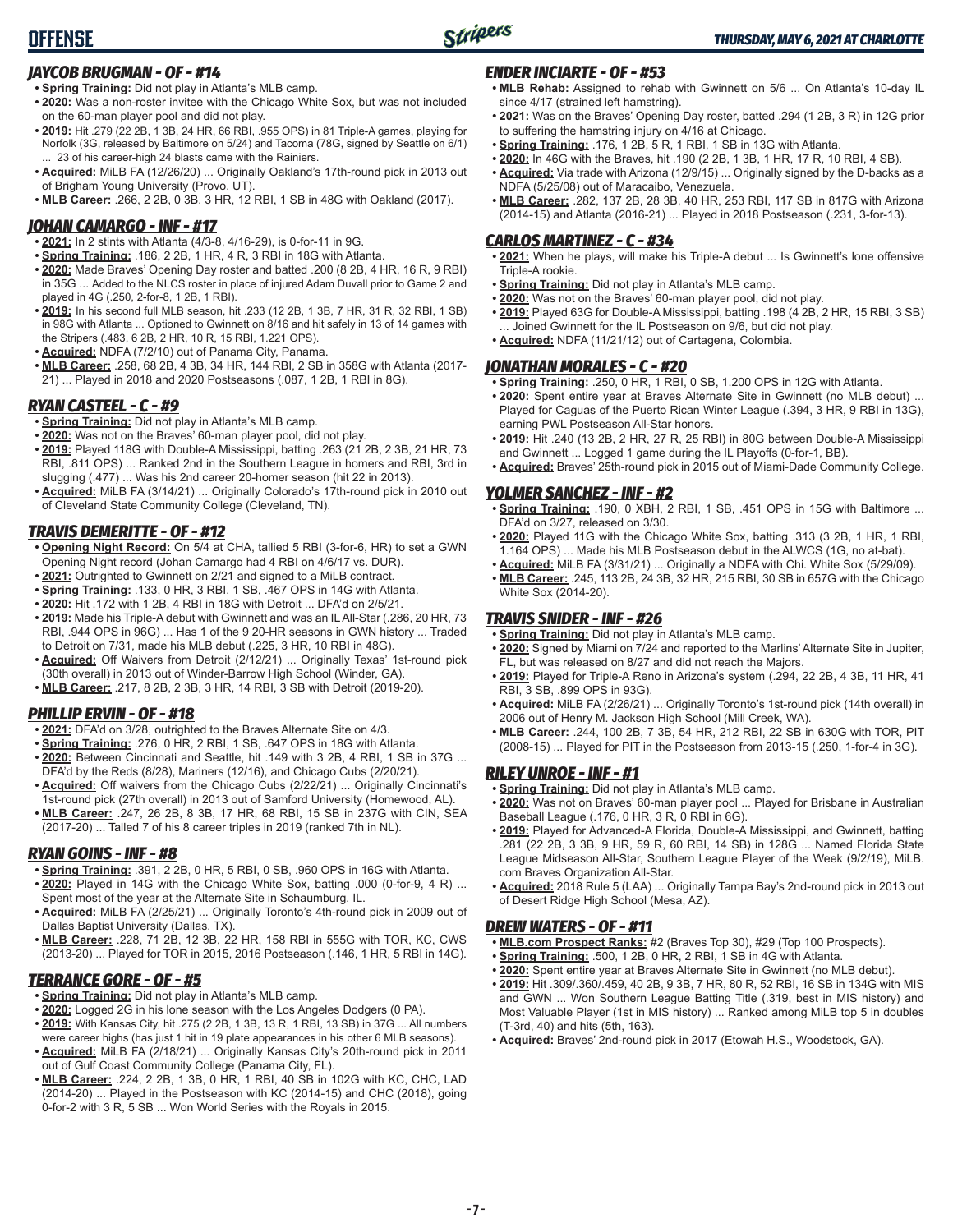## *JAYCOB BRUGMAN - OF - #14*

- **• Spring Training:** Did not play in Atlanta's MLB camp.
- **• 2020:** Was a non-roster invitee with the Chicago White Sox, but was not included on the 60-man player pool and did not play.
- **• 2019:** Hit .279 (22 2B, 1 3B, 24 HR, 66 RBI, .955 OPS) in 81 Triple-A games, playing for Norfolk (3G, released by Baltimore on 5/24) and Tacoma (78G, signed by Seattle on 6/1) 23 of his career-high 24 blasts came with the Rainiers.
- **• Acquired:** MiLB FA (12/26/20) ... Originally Oakland's 17th-round pick in 2013 out of Brigham Young University (Provo, UT).
- **• MLB Career:** .266, 2 2B, 0 3B, 3 HR, 12 RBI, 1 SB in 48G with Oakland (2017).

## *JOHAN CAMARGO - INF - #17*

- **• 2021:** In 2 stints with Atlanta (4/3-8, 4/16-29), is 0-for-11 in 9G.
- **• Spring Training:** .186, 2 2B, 1 HR, 4 R, 3 RBI in 18G with Atlanta.
- **• 2020:** Made Braves' Opening Day roster and batted .200 (8 2B, 4 HR, 16 R, 9 RBI) in 35G ... Added to the NLCS roster in place of injured Adam Duvall prior to Game 2 and played in 4G (.250, 2-for-8, 1 2B, 1 RBI).
- **• 2019:** In his second full MLB season, hit .233 (12 2B, 1 3B, 7 HR, 31 R, 32 RBI, 1 SB) in 98G with Atlanta ... Optioned to Gwinnett on 8/16 and hit safely in 13 of 14 games with the Stripers (.483, 6 2B, 2 HR, 10 R, 15 RBI, 1.221 OPS).
- **• Acquired:** NDFA (7/2/10) out of Panama City, Panama.
- **• MLB Career:** .258, 68 2B, 4 3B, 34 HR, 144 RBI, 2 SB in 358G with Atlanta (2017- 21) ... Played in 2018 and 2020 Postseasons (.087, 1 2B, 1 RBI in 8G).

## *RYAN CASTEEL - C - #9*

- **• Spring Training:** Did not play in Atlanta's MLB camp.
- **• 2020:** Was not on the Braves' 60-man player pool, did not play.
- **• 2019:** Played 118G with Double-A Mississippi, batting .263 (21 2B, 2 3B, 21 HR, 73 RBI, .811 OPS) ... Ranked 2nd in the Southern League in homers and RBI, 3rd in slugging (.477) ... Was his 2nd career 20-homer season (hit 22 in 2013).
- **• Acquired:** MiLB FA (3/14/21) ... Originally Colorado's 17th-round pick in 2010 out of Cleveland State Community College (Cleveland, TN).

## *TRAVIS DEMERITTE - OF - #12*

- **• Opening Night Record:** On 5/4 at CHA, tallied 5 RBI (3-for-6, HR) to set a GWN Opening Night record (Johan Camargo had 4 RBI on 4/6/17 vs. DUR).
- **• 2021:** Outrighted to Gwinnett on 2/21 and signed to a MiLB contract.
- **• Spring Training:** .133, 0 HR, 3 RBI, 1 SB, .467 OPS in 14G with Atlanta.
- **• 2020:** Hit .172 with 1 2B, 4 RBI in 18G with Detroit ... DFA'd on 2/5/21.
- **• 2019:** Made his Triple-A debut with Gwinnett and was an IL All-Star (.286, 20 HR, 73 RBI, .944 OPS in 96G) ... Has 1 of the 9 20-HR seasons in GWN history ... Traded to Detroit on 7/31, made his MLB debut (.225, 3 HR, 10 RBI in 48G).
- **• Acquired:** Off Waivers from Detroit (2/12/21) ... Originally Texas' 1st-round pick (30th overall) in 2013 out of Winder-Barrow High School (Winder, GA).
- **• MLB Career:** .217, 8 2B, 2 3B, 3 HR, 14 RBI, 3 SB with Detroit (2019-20).

## *PHILLIP ERVIN - OF - #18*

- **• 2021:** DFA'd on 3/28, outrighted to the Braves Alternate Site on 4/3.
- **• Spring Training:** .276, 0 HR, 2 RBI, 1 SB, .647 OPS in 18G with Atlanta.
- **• 2020:** Between Cincinnati and Seattle, hit .149 with 3 2B, 4 RBI, 1 SB in 37G ... DFA'd by the Reds (8/28), Mariners (12/16), and Chicago Cubs (2/20/21).
- **• Acquired:** Off waivers from the Chicago Cubs (2/22/21) ... Originally Cincinnati's 1st-round pick (27th overall) in 2013 out of Samford University (Homewood, AL).
- **• MLB Career:** .247, 26 2B, 8 3B, 17 HR, 68 RBI, 15 SB in 237G with CIN, SEA (2017-20) ... Talled 7 of his 8 career triples in 2019 (ranked 7th in NL).

## *RYAN GOINS - INF - #8*

- **• Spring Training:** .391, 2 2B, 0 HR, 5 RBI, 0 SB, .960 OPS in 16G with Atlanta. **• 2020:** Played in 14G with the Chicago White Sox, batting .000 (0-for-9, 4 R) ... Spent most of the year at the Alternate Site in Schaumburg, IL.
- **• Acquired:** MiLB FA (2/25/21) ... Originally Toronto's 4th-round pick in 2009 out of Dallas Baptist University (Dallas, TX).
- **• MLB Career:** .228, 71 2B, 12 3B, 22 HR, 158 RBI in 555G with TOR, KC, CWS (2013-20) ... Played for TOR in 2015, 2016 Postseason (.146, 1 HR, 5 RBI in 14G).

## *TERRANCE GORE - OF - #5*

- **• Spring Training:** Did not play in Atlanta's MLB camp.
- **• 2020:** Logged 2G in his lone season with the Los Angeles Dodgers (0 PA).
- **• 2019:** With Kansas City, hit .275 (2 2B, 1 3B, 13 R, 1 RBI, 13 SB) in 37G ... All numbers were career highs (has just 1 hit in 19 plate appearances in his other 6 MLB seasons).
- **• Acquired:** MiLB FA (2/18/21) ... Originally Kansas City's 20th-round pick in 2011 out of Gulf Coast Community College (Panama City, FL).
- **• MLB Career:** .224, 2 2B, 1 3B, 0 HR, 1 RBI, 40 SB in 102G with KC, CHC, LAD (2014-20) ... Played in the Postseason with KC (2014-15) and CHC (2018), going 0-for-2 with 3 R, 5 SB ... Won World Series with the Royals in 2015.

## *ENDER INCIARTE - OF - #53*

- **• MLB Rehab:** Assigned to rehab with Gwinnett on 5/6 ... On Atlanta's 10-day IL since 4/17 (strained left hamstring).
- **• 2021:** Was on the Braves' Opening Day roster, batted .294 (1 2B, 3 R) in 12G prior to suffering the hamstring injury on 4/16 at Chicago.
- **• Spring Training:** .176, 1 2B, 5 R, 1 RBI, 1 SB in 13G with Atlanta.
- **• 2020:** In 46G with the Braves, hit .190 (2 2B, 1 3B, 1 HR, 17 R, 10 RBI, 4 SB).
- **• Acquired:** Via trade with Arizona (12/9/15) ... Originally signed by the D-backs as a NDFA (5/25/08) out of Maracaibo, Venezuela.
- **• MLB Career:** .282, 137 2B, 28 3B, 40 HR, 253 RBI, 117 SB in 817G with Arizona (2014-15) and Atlanta (2016-21) ... Played in 2018 Postseason (.231, 3-for-13).

### *CARLOS MARTINEZ - C - #34*

- **• 2021:** When he plays, will make his Triple-A debut ... Is Gwinnett's lone offensive Triple-A rookie.
- **• Spring Training:** Did not play in Atlanta's MLB camp.
- **• 2020:** Was not on the Braves' 60-man player pool, did not play.
- **• 2019:** Played 63G for Double-A Mississippi, batting .198 (4 2B, 2 HR, 15 RBI, 3 SB) ... Joined Gwinnett for the IL Postseason on 9/6, but did not play.
- **• Acquired:** NDFA (11/21/12) out of Cartagena, Colombia.

## *JONATHAN MORALES - C - #20*

- **• Spring Training:** .250, 0 HR, 1 RBI, 0 SB, 1.200 OPS in 12G with Atlanta.
- **• 2020:** Spent entire year at Braves Alternate Site in Gwinnett (no MLB debut) ... Played for Caguas of the Puerto Rican Winter League (.394, 3 HR, 9 RBI in 13G), earning PWL Postseason All-Star honors.
- **• 2019:** Hit .240 (13 2B, 2 HR, 27 R, 25 RBI) in 80G between Double-A Mississippi and Gwinnett ... Logged 1 game during the IL Playoffs (0-for-1, BB).
- **• Acquired:** Braves' 25th-round pick in 2015 out of Miami-Dade Community College.

### *YOLMER SANCHEZ - INF - #2*

- **• Spring Training:** .190, 0 XBH, 2 RBI, 1 SB, .451 OPS in 15G with Baltimore ... DFA'd on 3/27, released on 3/30.
- **• 2020:** Played 11G with the Chicago White Sox, batting .313 (3 2B, 1 HR, 1 RBI, 1.164 OPS) ... Made his MLB Postseason debut in the ALWCS (1G, no at-bat).
- **• Acquired:** MiLB FA (3/31/21) ... Originally a NDFA with Chi. White Sox (5/29/09).
- **• MLB Career:** .245, 113 2B, 24 3B, 32 HR, 215 RBI, 30 SB in 657G with the Chicago White Sox (2014-20).

## *TRAVIS SNIDER - INF - #26*

- **• Spring Training:** Did not play in Atlanta's MLB camp.
- **• 2020:** Signed by Miami on 7/24 and reported to the Marlins' Alternate Site in Jupiter, FL, but was released on 8/27 and did not reach the Majors.
- **• 2019:** Played for Triple-A Reno in Arizona's system (.294, 22 2B, 4 3B, 11 HR, 41 RBI, 3 SB, .899 OPS in 93G).
- **• Acquired:** MiLB FA (2/26/21) ... Originally Toronto's 1st-round pick (14th overall) in 2006 out of Henry M. Jackson High School (Mill Creek, WA).
- **• MLB Career:** .244, 100 2B, 7 3B, 54 HR, 212 RBI, 22 SB in 630G with TOR, PIT (2008-15) ... Played for PIT in the Postseason from 2013-15 (.250, 1-for-4 in 3G).

### *RILEY UNROE - INF - #1*

- **• Spring Training:** Did not play in Atlanta's MLB camp.
- **• 2020:** Was not on Braves' 60-man player pool ... Played for Brisbane in Australian Baseball League (.176, 0 HR, 3 R, 0 RBI in 6G).
- **• 2019:** Played for Advanced-A Florida, Double-A Mississippi, and Gwinnett, batting .281 (22 2B, 3 3B, 9 HR, 59 R, 60 RBI, 14 SB) in 128G ... Named Florida State League Midseason All-Star, Southern League Player of the Week (9/2/19), MiLB. com Braves Organization All-Star.
- **• Acquired:** 2018 Rule 5 (LAA) ... Originally Tampa Bay's 2nd-round pick in 2013 out of Desert Ridge High School (Mesa, AZ).

#### *DREW WATERS - OF - #11*

- **• MLB.com Prospect Ranks:** #2 (Braves Top 30), #29 (Top 100 Prospects).
- **• Spring Training:** .500, 1 2B, 0 HR, 2 RBI, 1 SB in 4G with Atlanta.
- **• 2020:** Spent entire year at Braves Alternate Site in Gwinnett (no MLB debut).
- **• 2019:** Hit .309/.360/.459, 40 2B, 9 3B, 7 HR, 80 R, 52 RBI, 16 SB in 134G with MIS and GWN ... Won Southern League Batting Title (.319, best in MIS history) and Most Valuable Player (1st in MIS history) ... Ranked among MiLB top 5 in doubles (T-3rd, 40) and hits (5th, 163).
- **• Acquired:** Braves' 2nd-round pick in 2017 (Etowah H.S., Woodstock, GA).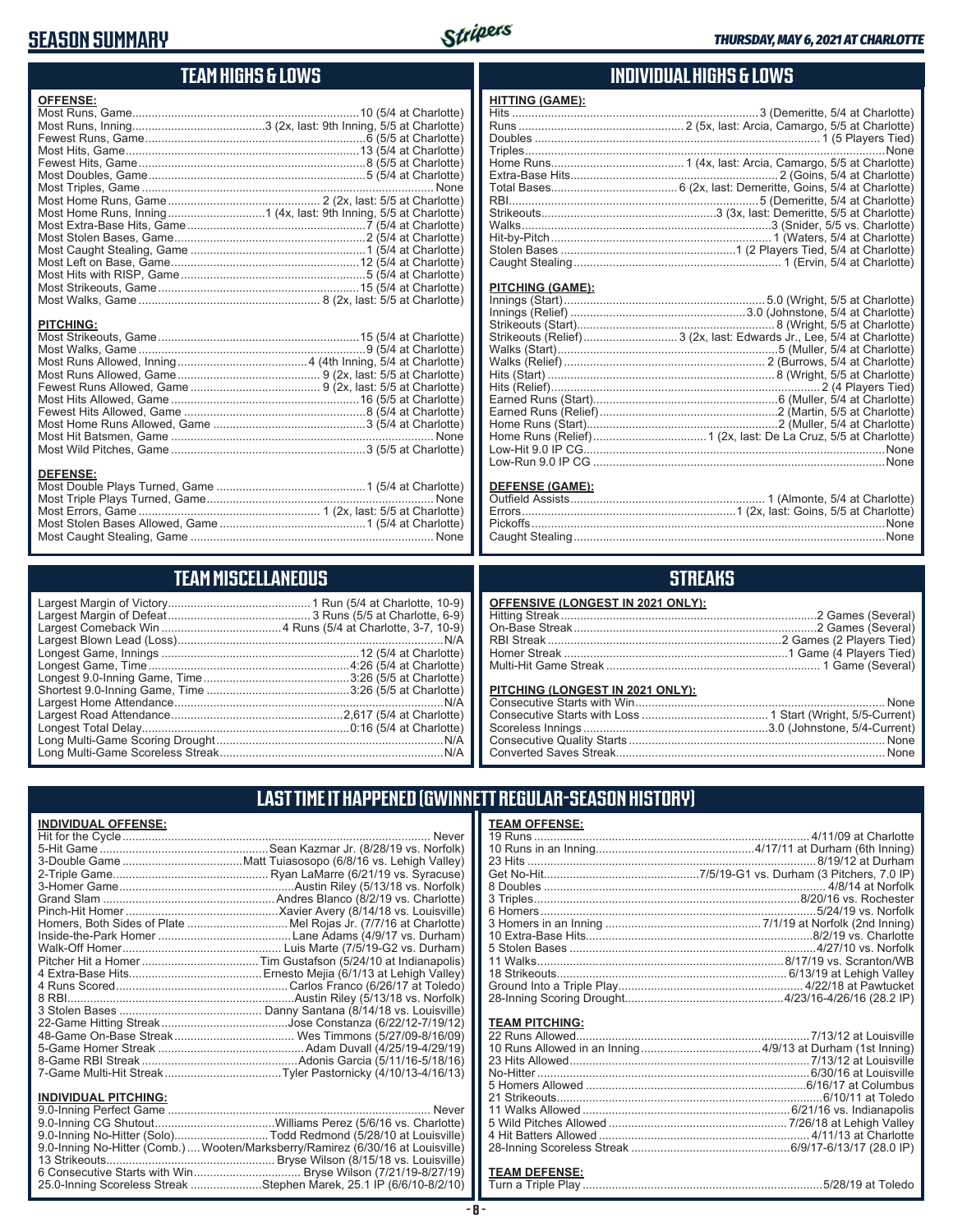## **SEASON SUMMARY**



## **TEAM HIGHS & LOWS**

| <b>OFFENSE:</b>  |  |
|------------------|--|
|                  |  |
|                  |  |
|                  |  |
|                  |  |
|                  |  |
|                  |  |
|                  |  |
|                  |  |
|                  |  |
|                  |  |
|                  |  |
|                  |  |
|                  |  |
|                  |  |
|                  |  |
|                  |  |
|                  |  |
| <b>PITCHING:</b> |  |
|                  |  |
|                  |  |
|                  |  |
|                  |  |
|                  |  |
|                  |  |
|                  |  |
|                  |  |
|                  |  |
|                  |  |
|                  |  |
| <b>DEFENSE:</b>  |  |
|                  |  |
|                  |  |
|                  |  |

## **TEAM MISCELLANEOUS**

Most Caught Stealing, Game ........................................................................... None

## **INDIVIDUAL HIGHS & LOWS**

### **HITTING (GAME):**

#### **PITCHING (GAME):**

Caught Stealing ..........

|                        | Strikeouts (Relief) 3 (2x, last: Edwards Jr., Lee, 5/4 at Charlotte) |
|------------------------|----------------------------------------------------------------------|
|                        |                                                                      |
|                        |                                                                      |
|                        |                                                                      |
|                        |                                                                      |
|                        |                                                                      |
|                        |                                                                      |
|                        |                                                                      |
|                        |                                                                      |
|                        |                                                                      |
|                        |                                                                      |
|                        |                                                                      |
| <b>DEFENSE (GAME):</b> |                                                                      |
|                        |                                                                      |

# **STREAKS**

Errors..................................................................1 (2x, last: Goins, 5/5 at Charlotte)

Pickoffs .............................................................................................................None

| OFFENSIVE (LONGEST IN 2021 ONLY):                               |             |
|-----------------------------------------------------------------|-------------|
|                                                                 |             |
|                                                                 |             |
|                                                                 |             |
|                                                                 |             |
|                                                                 |             |
| PITCHING (LONGEST IN 2021 ONLY):<br>Concooutive Starte with Win | <b>Nono</b> |

## **LAST TIME IT HAPPENED (GWINNETT REGULAR-SEASON HISTORY)**

## **INDIVIDUAL OFFENSE:**

|                             | Homers, Both Sides of Plate  Mel Rojas Jr. (7/7/16 at Charlotte) |
|-----------------------------|------------------------------------------------------------------|
|                             |                                                                  |
|                             |                                                                  |
|                             |                                                                  |
|                             |                                                                  |
|                             |                                                                  |
|                             |                                                                  |
|                             |                                                                  |
|                             |                                                                  |
|                             |                                                                  |
|                             |                                                                  |
|                             |                                                                  |
|                             |                                                                  |
|                             |                                                                  |
| <b>INDIVIDUAL PITCHING:</b> |                                                                  |
|                             |                                                                  |
|                             |                                                                  |
|                             |                                                                  |

## 9.0-Inning CG Shutout.....................................Williams Perez (5/6/16 vs. Charlotte) 9.0-Inning No-Hitter (Solo).............................Todd Redmond (5/28/10 at Louisville) 9.0-Inning No-Hitter (Comb.)....Wooten/Marksberry/Ramirez (6/30/16 at Louisville) 13 Strikeouts.................................................... Bryse Wilson (8/15/18 vs. Louisville) 6 Consecutive Starts with Win ................................. Bryse Wilson (7/21/19-8/27/19) 25.0-Inning Scoreless Streak ......................Stephen Marek, 25.1 IP (6/6/10-8/2/10)

| <b>TEAM OFFENSE:</b> |  |
|----------------------|--|
|                      |  |
|                      |  |
|                      |  |
|                      |  |
|                      |  |
|                      |  |
|                      |  |
|                      |  |
|                      |  |
|                      |  |
|                      |  |
|                      |  |
|                      |  |
|                      |  |
|                      |  |

#### **TEAM PITCHING:**

#### **TEAM DEFENSE:**

Turn a Triple Play ..........................................................................5/28/19 at Toledo